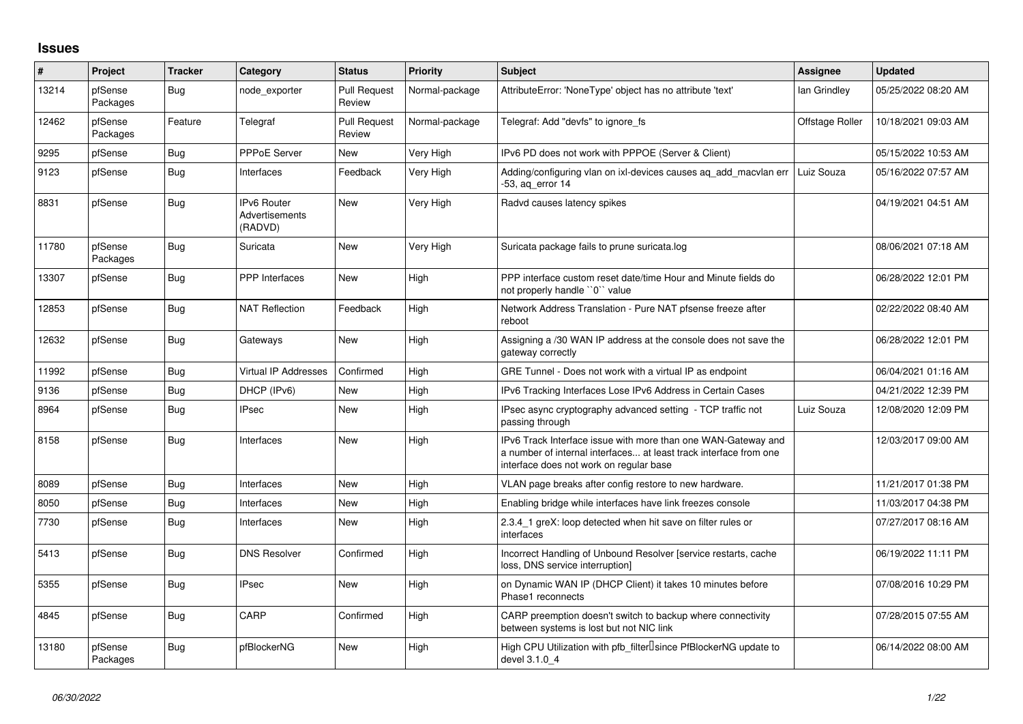## **Issues**

| $\#$  | Project             | <b>Tracker</b> | Category                                        | <b>Status</b>                 | <b>Priority</b> | <b>Subject</b>                                                                                                                                                                | Assignee        | <b>Updated</b>      |
|-------|---------------------|----------------|-------------------------------------------------|-------------------------------|-----------------|-------------------------------------------------------------------------------------------------------------------------------------------------------------------------------|-----------------|---------------------|
| 13214 | pfSense<br>Packages | Bug            | node exporter                                   | <b>Pull Request</b><br>Review | Normal-package  | AttributeError: 'NoneType' object has no attribute 'text'                                                                                                                     | lan Grindley    | 05/25/2022 08:20 AM |
| 12462 | pfSense<br>Packages | Feature        | Telegraf                                        | <b>Pull Request</b><br>Review | Normal-package  | Telegraf: Add "devfs" to ignore fs                                                                                                                                            | Offstage Roller | 10/18/2021 09:03 AM |
| 9295  | pfSense             | <b>Bug</b>     | PPPoE Server                                    | <b>New</b>                    | Very High       | IPv6 PD does not work with PPPOE (Server & Client)                                                                                                                            |                 | 05/15/2022 10:53 AM |
| 9123  | pfSense             | Bug            | Interfaces                                      | Feedback                      | Very High       | Adding/configuring vlan on ixl-devices causes ag add macvlan err<br>-53, ag error 14                                                                                          | Luiz Souza      | 05/16/2022 07:57 AM |
| 8831  | pfSense             | Bug            | <b>IPv6 Router</b><br>Advertisements<br>(RADVD) | <b>New</b>                    | Very High       | Radvd causes latency spikes                                                                                                                                                   |                 | 04/19/2021 04:51 AM |
| 11780 | pfSense<br>Packages | Bug            | Suricata                                        | New                           | Very High       | Suricata package fails to prune suricata.log                                                                                                                                  |                 | 08/06/2021 07:18 AM |
| 13307 | pfSense             | Bug            | <b>PPP</b> Interfaces                           | <b>New</b>                    | High            | PPP interface custom reset date/time Hour and Minute fields do<br>not properly handle "0" value                                                                               |                 | 06/28/2022 12:01 PM |
| 12853 | pfSense             | <b>Bug</b>     | <b>NAT Reflection</b>                           | Feedback                      | High            | Network Address Translation - Pure NAT pfsense freeze after<br>reboot                                                                                                         |                 | 02/22/2022 08:40 AM |
| 12632 | pfSense             | Bug            | Gateways                                        | <b>New</b>                    | High            | Assigning a /30 WAN IP address at the console does not save the<br>gateway correctly                                                                                          |                 | 06/28/2022 12:01 PM |
| 11992 | pfSense             | <b>Bug</b>     | <b>Virtual IP Addresses</b>                     | Confirmed                     | High            | GRE Tunnel - Does not work with a virtual IP as endpoint                                                                                                                      |                 | 06/04/2021 01:16 AM |
| 9136  | pfSense             | Bug            | DHCP (IPv6)                                     | New                           | High            | IPv6 Tracking Interfaces Lose IPv6 Address in Certain Cases                                                                                                                   |                 | 04/21/2022 12:39 PM |
| 8964  | pfSense             | Bug            | <b>IPsec</b>                                    | New                           | High            | IPsec async cryptography advanced setting - TCP traffic not<br>passing through                                                                                                | Luiz Souza      | 12/08/2020 12:09 PM |
| 8158  | pfSense             | Bug            | Interfaces                                      | <b>New</b>                    | High            | IPv6 Track Interface issue with more than one WAN-Gateway and<br>a number of internal interfaces at least track interface from one<br>interface does not work on regular base |                 | 12/03/2017 09:00 AM |
| 8089  | pfSense             | Bug            | Interfaces                                      | New                           | High            | VLAN page breaks after config restore to new hardware.                                                                                                                        |                 | 11/21/2017 01:38 PM |
| 8050  | pfSense             | <b>Bug</b>     | Interfaces                                      | New                           | High            | Enabling bridge while interfaces have link freezes console                                                                                                                    |                 | 11/03/2017 04:38 PM |
| 7730  | pfSense             | Bug            | Interfaces                                      | New                           | High            | 2.3.4 1 greX: loop detected when hit save on filter rules or<br>interfaces                                                                                                    |                 | 07/27/2017 08:16 AM |
| 5413  | pfSense             | <b>Bug</b>     | <b>DNS Resolver</b>                             | Confirmed                     | High            | Incorrect Handling of Unbound Resolver [service restarts, cache<br>loss, DNS service interruption]                                                                            |                 | 06/19/2022 11:11 PM |
| 5355  | pfSense             | Bug            | <b>IPsec</b>                                    | <b>New</b>                    | High            | on Dynamic WAN IP (DHCP Client) it takes 10 minutes before<br>Phase1 reconnects                                                                                               |                 | 07/08/2016 10:29 PM |
| 4845  | pfSense             | Bug            | CARP                                            | Confirmed                     | High            | CARP preemption doesn't switch to backup where connectivity<br>between systems is lost but not NIC link                                                                       |                 | 07/28/2015 07:55 AM |
| 13180 | pfSense<br>Packages | <b>Bug</b>     | pfBlockerNG                                     | New                           | High            | High CPU Utilization with pfb_filter <sup>[]</sup> since PfBlockerNG update to<br>devel 3.1.0 4                                                                               |                 | 06/14/2022 08:00 AM |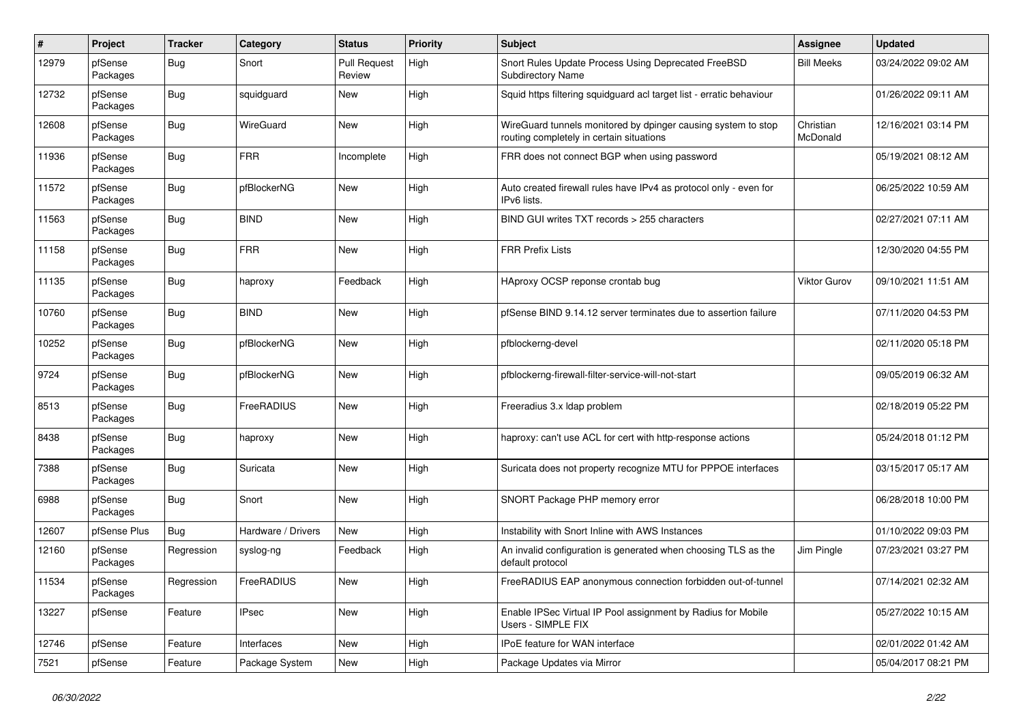| #     | Project             | <b>Tracker</b> | Category           | <b>Status</b>                 | <b>Priority</b> | Subject                                                                                                   | <b>Assignee</b>       | <b>Updated</b>      |
|-------|---------------------|----------------|--------------------|-------------------------------|-----------------|-----------------------------------------------------------------------------------------------------------|-----------------------|---------------------|
| 12979 | pfSense<br>Packages | Bug            | Snort              | <b>Pull Request</b><br>Review | High            | Snort Rules Update Process Using Deprecated FreeBSD<br><b>Subdirectory Name</b>                           | <b>Bill Meeks</b>     | 03/24/2022 09:02 AM |
| 12732 | pfSense<br>Packages | Bug            | squidguard         | New                           | High            | Squid https filtering squidguard acl target list - erratic behaviour                                      |                       | 01/26/2022 09:11 AM |
| 12608 | pfSense<br>Packages | <b>Bug</b>     | WireGuard          | <b>New</b>                    | High            | WireGuard tunnels monitored by dpinger causing system to stop<br>routing completely in certain situations | Christian<br>McDonald | 12/16/2021 03:14 PM |
| 11936 | pfSense<br>Packages | <b>Bug</b>     | <b>FRR</b>         | Incomplete                    | High            | FRR does not connect BGP when using password                                                              |                       | 05/19/2021 08:12 AM |
| 11572 | pfSense<br>Packages | Bug            | pfBlockerNG        | New                           | High            | Auto created firewall rules have IPv4 as protocol only - even for<br>IPv6 lists.                          |                       | 06/25/2022 10:59 AM |
| 11563 | pfSense<br>Packages | Bug            | <b>BIND</b>        | <b>New</b>                    | High            | BIND GUI writes TXT records > 255 characters                                                              |                       | 02/27/2021 07:11 AM |
| 11158 | pfSense<br>Packages | Bug            | <b>FRR</b>         | New                           | High            | <b>FRR Prefix Lists</b>                                                                                   |                       | 12/30/2020 04:55 PM |
| 11135 | pfSense<br>Packages | <b>Bug</b>     | haproxy            | Feedback                      | High            | HAproxy OCSP reponse crontab bug                                                                          | <b>Viktor Gurov</b>   | 09/10/2021 11:51 AM |
| 10760 | pfSense<br>Packages | Bug            | <b>BIND</b>        | New                           | High            | pfSense BIND 9.14.12 server terminates due to assertion failure                                           |                       | 07/11/2020 04:53 PM |
| 10252 | pfSense<br>Packages | Bug            | pfBlockerNG        | <b>New</b>                    | High            | pfblockerng-devel                                                                                         |                       | 02/11/2020 05:18 PM |
| 9724  | pfSense<br>Packages | Bug            | pfBlockerNG        | New                           | High            | pfblockerng-firewall-filter-service-will-not-start                                                        |                       | 09/05/2019 06:32 AM |
| 8513  | pfSense<br>Packages | Bug            | FreeRADIUS         | <b>New</b>                    | High            | Freeradius 3.x Idap problem                                                                               |                       | 02/18/2019 05:22 PM |
| 8438  | pfSense<br>Packages | Bug            | haproxy            | New                           | High            | haproxy: can't use ACL for cert with http-response actions                                                |                       | 05/24/2018 01:12 PM |
| 7388  | pfSense<br>Packages | Bug            | Suricata           | New                           | High            | Suricata does not property recognize MTU for PPPOE interfaces                                             |                       | 03/15/2017 05:17 AM |
| 6988  | pfSense<br>Packages | <b>Bug</b>     | Snort              | New                           | High            | SNORT Package PHP memory error                                                                            |                       | 06/28/2018 10:00 PM |
| 12607 | pfSense Plus        | Bug            | Hardware / Drivers | <b>New</b>                    | High            | Instability with Snort Inline with AWS Instances                                                          |                       | 01/10/2022 09:03 PM |
| 12160 | pfSense<br>Packages | Regression     | syslog-ng          | Feedback                      | High            | An invalid configuration is generated when choosing TLS as the<br>default protocol                        | Jim Pingle            | 07/23/2021 03:27 PM |
| 11534 | pfSense<br>Packages | Regression     | FreeRADIUS         | New                           | High            | FreeRADIUS EAP anonymous connection forbidden out-of-tunnel                                               |                       | 07/14/2021 02:32 AM |
| 13227 | pfSense             | Feature        | <b>IPsec</b>       | New                           | High            | Enable IPSec Virtual IP Pool assignment by Radius for Mobile<br>Users - SIMPLE FIX                        |                       | 05/27/2022 10:15 AM |
| 12746 | pfSense             | Feature        | Interfaces         | New                           | High            | <b>IPoE</b> feature for WAN interface                                                                     |                       | 02/01/2022 01:42 AM |
| 7521  | pfSense             | Feature        | Package System     | New                           | High            | Package Updates via Mirror                                                                                |                       | 05/04/2017 08:21 PM |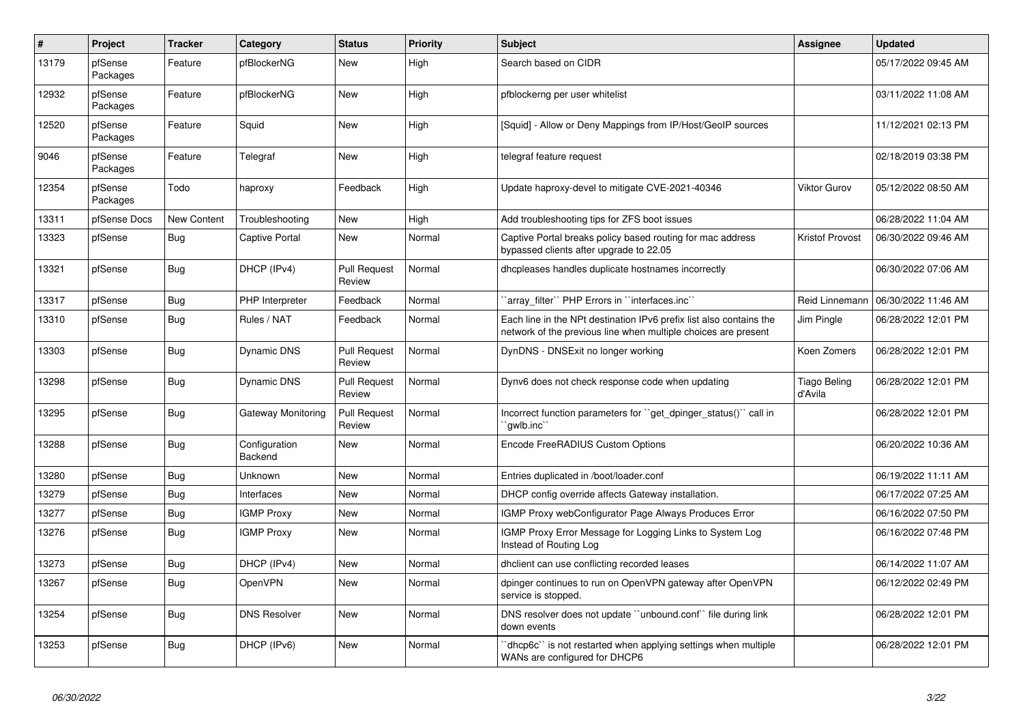| $\vert$ # | Project             | Tracker            | Category                 | <b>Status</b>                 | <b>Priority</b> | <b>Subject</b>                                                                                                                        | Assignee                       | <b>Updated</b>      |
|-----------|---------------------|--------------------|--------------------------|-------------------------------|-----------------|---------------------------------------------------------------------------------------------------------------------------------------|--------------------------------|---------------------|
| 13179     | pfSense<br>Packages | Feature            | pfBlockerNG              | New                           | High            | Search based on CIDR                                                                                                                  |                                | 05/17/2022 09:45 AM |
| 12932     | pfSense<br>Packages | Feature            | pfBlockerNG              | New                           | High            | pfblockerng per user whitelist                                                                                                        |                                | 03/11/2022 11:08 AM |
| 12520     | pfSense<br>Packages | Feature            | Squid                    | <b>New</b>                    | High            | [Squid] - Allow or Deny Mappings from IP/Host/GeoIP sources                                                                           |                                | 11/12/2021 02:13 PM |
| 9046      | pfSense<br>Packages | Feature            | Telegraf                 | New                           | High            | telegraf feature request                                                                                                              |                                | 02/18/2019 03:38 PM |
| 12354     | pfSense<br>Packages | Todo               | haproxy                  | Feedback                      | High            | Update haproxy-devel to mitigate CVE-2021-40346                                                                                       | Viktor Gurov                   | 05/12/2022 08:50 AM |
| 13311     | pfSense Docs        | <b>New Content</b> | Troubleshooting          | New                           | High            | Add troubleshooting tips for ZFS boot issues                                                                                          |                                | 06/28/2022 11:04 AM |
| 13323     | pfSense             | <b>Bug</b>         | Captive Portal           | New                           | Normal          | Captive Portal breaks policy based routing for mac address<br>bypassed clients after upgrade to 22.05                                 | <b>Kristof Provost</b>         | 06/30/2022 09:46 AM |
| 13321     | pfSense             | Bug                | DHCP (IPv4)              | <b>Pull Request</b><br>Review | Normal          | dhcpleases handles duplicate hostnames incorrectly                                                                                    |                                | 06/30/2022 07:06 AM |
| 13317     | pfSense             | Bug                | PHP Interpreter          | Feedback                      | Normal          | `array filter`` PHP Errors in ``interfaces.inc``                                                                                      | Reid Linnemann                 | 06/30/2022 11:46 AM |
| 13310     | pfSense             | <b>Bug</b>         | Rules / NAT              | Feedback                      | Normal          | Each line in the NPt destination IPv6 prefix list also contains the<br>network of the previous line when multiple choices are present | Jim Pingle                     | 06/28/2022 12:01 PM |
| 13303     | pfSense             | Bug                | <b>Dynamic DNS</b>       | <b>Pull Request</b><br>Review | Normal          | DynDNS - DNSExit no longer working                                                                                                    | Koen Zomers                    | 06/28/2022 12:01 PM |
| 13298     | pfSense             | <b>Bug</b>         | <b>Dynamic DNS</b>       | <b>Pull Request</b><br>Review | Normal          | Dynv6 does not check response code when updating                                                                                      | <b>Tiago Beling</b><br>d'Avila | 06/28/2022 12:01 PM |
| 13295     | pfSense             | Bug                | Gateway Monitoring       | <b>Pull Request</b><br>Review | Normal          | Incorrect function parameters for "get dpinger status()" call in<br>`awlb.inc``                                                       |                                | 06/28/2022 12:01 PM |
| 13288     | pfSense             | Bug                | Configuration<br>Backend | <b>New</b>                    | Normal          | Encode FreeRADIUS Custom Options                                                                                                      |                                | 06/20/2022 10:36 AM |
| 13280     | pfSense             | <b>Bug</b>         | <b>Unknown</b>           | <b>New</b>                    | Normal          | Entries duplicated in /boot/loader.conf                                                                                               |                                | 06/19/2022 11:11 AM |
| 13279     | pfSense             | <b>Bug</b>         | <b>Interfaces</b>        | <b>New</b>                    | Normal          | DHCP config override affects Gateway installation.                                                                                    |                                | 06/17/2022 07:25 AM |
| 13277     | pfSense             | <b>Bug</b>         | <b>IGMP Proxy</b>        | <b>New</b>                    | Normal          | IGMP Proxy webConfigurator Page Always Produces Error                                                                                 |                                | 06/16/2022 07:50 PM |
| 13276     | pfSense             | <b>Bug</b>         | <b>IGMP Proxy</b>        | New                           | Normal          | IGMP Proxy Error Message for Logging Links to System Log<br>Instead of Routing Log                                                    |                                | 06/16/2022 07:48 PM |
| 13273     | pfSense             | Bug                | DHCP (IPv4)              | New                           | Normal          | dhclient can use conflicting recorded leases                                                                                          |                                | 06/14/2022 11:07 AM |
| 13267     | pfSense             | <b>Bug</b>         | OpenVPN                  | New                           | Normal          | dpinger continues to run on OpenVPN gateway after OpenVPN<br>service is stopped.                                                      |                                | 06/12/2022 02:49 PM |
| 13254     | pfSense             | Bug                | <b>DNS Resolver</b>      | New                           | Normal          | DNS resolver does not update "unbound.conf" file during link<br>down events                                                           |                                | 06/28/2022 12:01 PM |
| 13253     | pfSense             | <b>Bug</b>         | DHCP (IPv6)              | New                           | Normal          | dhcp6c" is not restarted when applying settings when multiple<br>WANs are configured for DHCP6                                        |                                | 06/28/2022 12:01 PM |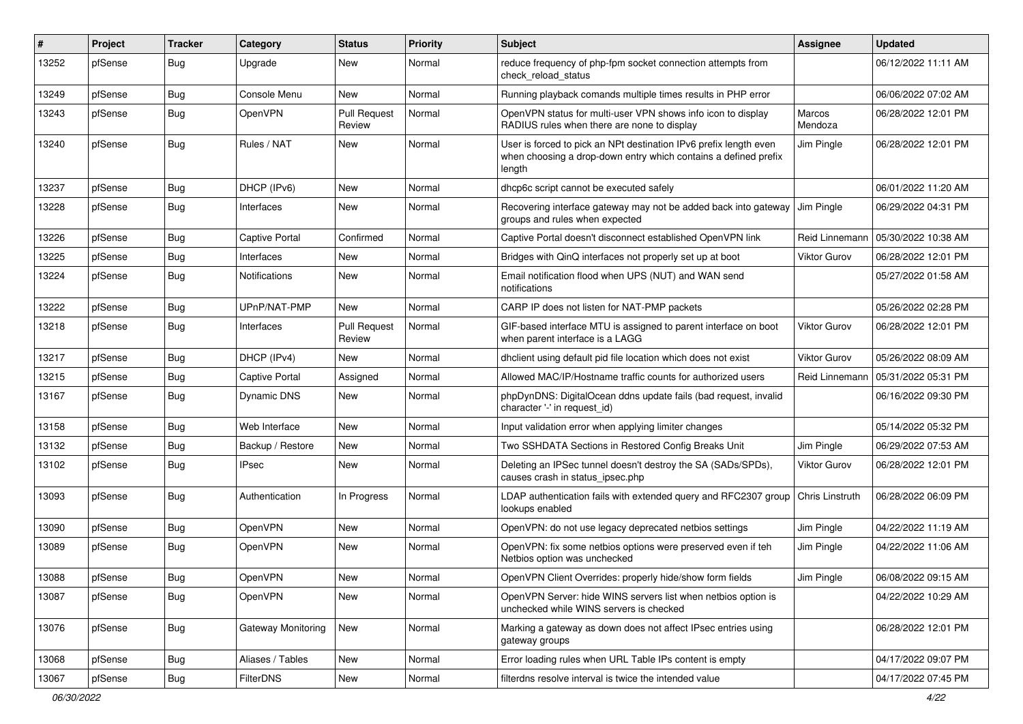| #     | Project | <b>Tracker</b> | Category              | <b>Status</b>                 | <b>Priority</b> | <b>Subject</b>                                                                                                                                 | <b>Assignee</b>     | <b>Updated</b>      |
|-------|---------|----------------|-----------------------|-------------------------------|-----------------|------------------------------------------------------------------------------------------------------------------------------------------------|---------------------|---------------------|
| 13252 | pfSense | <b>Bug</b>     | Upgrade               | New                           | Normal          | reduce frequency of php-fpm socket connection attempts from<br>check_reload_status                                                             |                     | 06/12/2022 11:11 AM |
| 13249 | pfSense | Bug            | Console Menu          | <b>New</b>                    | Normal          | Running playback comands multiple times results in PHP error                                                                                   |                     | 06/06/2022 07:02 AM |
| 13243 | pfSense | <b>Bug</b>     | OpenVPN               | <b>Pull Request</b><br>Review | Normal          | OpenVPN status for multi-user VPN shows info icon to display<br>RADIUS rules when there are none to display                                    | Marcos<br>Mendoza   | 06/28/2022 12:01 PM |
| 13240 | pfSense | Bug            | Rules / NAT           | New                           | Normal          | User is forced to pick an NPt destination IPv6 prefix length even<br>when choosing a drop-down entry which contains a defined prefix<br>length | Jim Pingle          | 06/28/2022 12:01 PM |
| 13237 | pfSense | <b>Bug</b>     | DHCP (IPv6)           | New                           | Normal          | dhcp6c script cannot be executed safely                                                                                                        |                     | 06/01/2022 11:20 AM |
| 13228 | pfSense | Bug            | <b>Interfaces</b>     | New                           | Normal          | Recovering interface gateway may not be added back into gateway<br>groups and rules when expected                                              | Jim Pingle          | 06/29/2022 04:31 PM |
| 13226 | pfSense | Bug            | <b>Captive Portal</b> | Confirmed                     | Normal          | Captive Portal doesn't disconnect established OpenVPN link                                                                                     | Reid Linnemann      | 05/30/2022 10:38 AM |
| 13225 | pfSense | <b>Bug</b>     | Interfaces            | <b>New</b>                    | Normal          | Bridges with QinQ interfaces not properly set up at boot                                                                                       | <b>Viktor Gurov</b> | 06/28/2022 12:01 PM |
| 13224 | pfSense | <b>Bug</b>     | <b>Notifications</b>  | New                           | Normal          | Email notification flood when UPS (NUT) and WAN send<br>notifications                                                                          |                     | 05/27/2022 01:58 AM |
| 13222 | pfSense | Bug            | UPnP/NAT-PMP          | New                           | Normal          | CARP IP does not listen for NAT-PMP packets                                                                                                    |                     | 05/26/2022 02:28 PM |
| 13218 | pfSense | <b>Bug</b>     | Interfaces            | <b>Pull Request</b><br>Review | Normal          | GIF-based interface MTU is assigned to parent interface on boot<br>when parent interface is a LAGG                                             | Viktor Gurov        | 06/28/2022 12:01 PM |
| 13217 | pfSense | Bug            | DHCP (IPv4)           | <b>New</b>                    | Normal          | dhclient using default pid file location which does not exist                                                                                  | Viktor Gurov        | 05/26/2022 08:09 AM |
| 13215 | pfSense | <b>Bug</b>     | <b>Captive Portal</b> | Assigned                      | Normal          | Allowed MAC/IP/Hostname traffic counts for authorized users                                                                                    | Reid Linnemann      | 05/31/2022 05:31 PM |
| 13167 | pfSense | <b>Bug</b>     | Dynamic DNS           | New                           | Normal          | phpDynDNS: DigitalOcean ddns update fails (bad request, invalid<br>character '-' in request_id)                                                |                     | 06/16/2022 09:30 PM |
| 13158 | pfSense | Bug            | Web Interface         | <b>New</b>                    | Normal          | Input validation error when applying limiter changes                                                                                           |                     | 05/14/2022 05:32 PM |
| 13132 | pfSense | Bug            | Backup / Restore      | New                           | Normal          | Two SSHDATA Sections in Restored Config Breaks Unit                                                                                            | Jim Pingle          | 06/29/2022 07:53 AM |
| 13102 | pfSense | Bug            | <b>IPsec</b>          | New                           | Normal          | Deleting an IPSec tunnel doesn't destroy the SA (SADs/SPDs),<br>causes crash in status_ipsec.php                                               | <b>Viktor Gurov</b> | 06/28/2022 12:01 PM |
| 13093 | pfSense | Bug            | Authentication        | In Progress                   | Normal          | LDAP authentication fails with extended query and RFC2307 group<br>lookups enabled                                                             | Chris Linstruth     | 06/28/2022 06:09 PM |
| 13090 | pfSense | Bug            | OpenVPN               | New                           | Normal          | OpenVPN: do not use legacy deprecated netbios settings                                                                                         | Jim Pingle          | 04/22/2022 11:19 AM |
| 13089 | pfSense | Bug            | <b>OpenVPN</b>        | New                           | Normal          | OpenVPN: fix some netbios options were preserved even if teh<br>Netbios option was unchecked                                                   | Jim Pingle          | 04/22/2022 11:06 AM |
| 13088 | pfSense | <b>Bug</b>     | OpenVPN               | New                           | Normal          | OpenVPN Client Overrides: properly hide/show form fields                                                                                       | Jim Pingle          | 06/08/2022 09:15 AM |
| 13087 | pfSense | <b>Bug</b>     | OpenVPN               | New                           | Normal          | OpenVPN Server: hide WINS servers list when netbios option is<br>unchecked while WINS servers is checked                                       |                     | 04/22/2022 10:29 AM |
| 13076 | pfSense | Bug            | Gateway Monitoring    | New                           | Normal          | Marking a gateway as down does not affect IPsec entries using<br>gateway groups                                                                |                     | 06/28/2022 12:01 PM |
| 13068 | pfSense | <b>Bug</b>     | Aliases / Tables      | New                           | Normal          | Error loading rules when URL Table IPs content is empty                                                                                        |                     | 04/17/2022 09:07 PM |
| 13067 | pfSense | <b>Bug</b>     | <b>FilterDNS</b>      | New                           | Normal          | filterdns resolve interval is twice the intended value                                                                                         |                     | 04/17/2022 07:45 PM |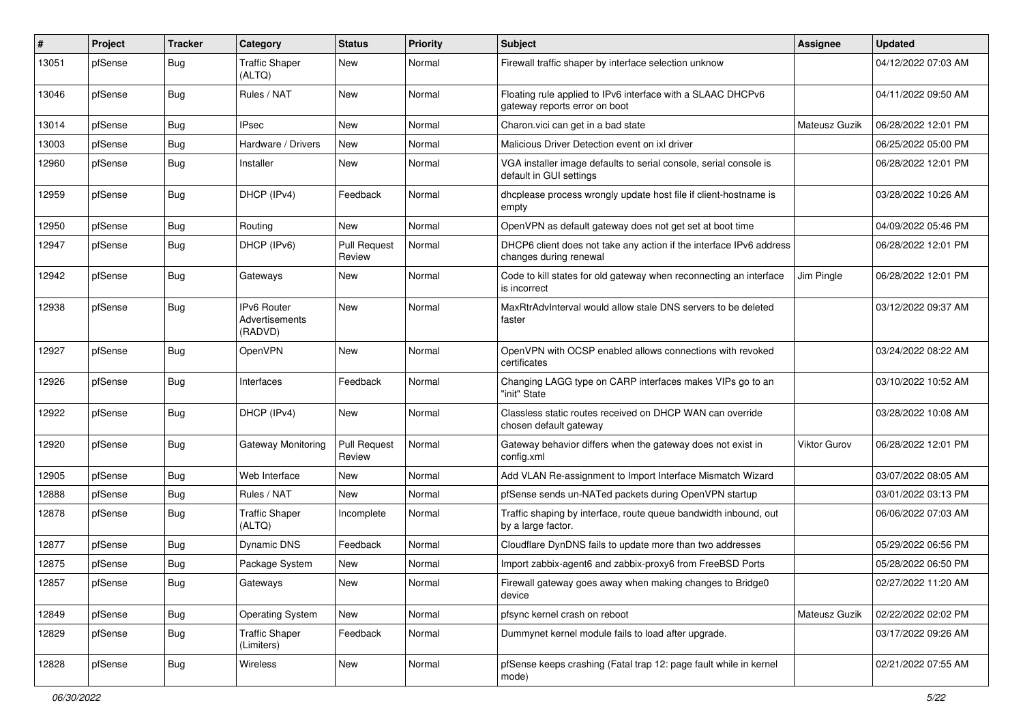| $\#$  | Project | <b>Tracker</b> | Category                                        | <b>Status</b>                 | <b>Priority</b> | <b>Subject</b>                                                                                | <b>Assignee</b>     | <b>Updated</b>      |
|-------|---------|----------------|-------------------------------------------------|-------------------------------|-----------------|-----------------------------------------------------------------------------------------------|---------------------|---------------------|
| 13051 | pfSense | Bug            | <b>Traffic Shaper</b><br>(ALTQ)                 | New                           | Normal          | Firewall traffic shaper by interface selection unknow                                         |                     | 04/12/2022 07:03 AM |
| 13046 | pfSense | Bug            | Rules / NAT                                     | <b>New</b>                    | Normal          | Floating rule applied to IPv6 interface with a SLAAC DHCPv6<br>gateway reports error on boot  |                     | 04/11/2022 09:50 AM |
| 13014 | pfSense | Bug            | <b>IPsec</b>                                    | <b>New</b>                    | Normal          | Charon.vici can get in a bad state                                                            | Mateusz Guzik       | 06/28/2022 12:01 PM |
| 13003 | pfSense | <b>Bug</b>     | Hardware / Drivers                              | New                           | Normal          | Malicious Driver Detection event on ixl driver                                                |                     | 06/25/2022 05:00 PM |
| 12960 | pfSense | Bug            | Installer                                       | New                           | Normal          | VGA installer image defaults to serial console, serial console is<br>default in GUI settings  |                     | 06/28/2022 12:01 PM |
| 12959 | pfSense | Bug            | DHCP (IPv4)                                     | Feedback                      | Normal          | dhcplease process wrongly update host file if client-hostname is<br>empty                     |                     | 03/28/2022 10:26 AM |
| 12950 | pfSense | Bug            | Routing                                         | <b>New</b>                    | Normal          | OpenVPN as default gateway does not get set at boot time                                      |                     | 04/09/2022 05:46 PM |
| 12947 | pfSense | <b>Bug</b>     | DHCP (IPv6)                                     | <b>Pull Request</b><br>Review | Normal          | DHCP6 client does not take any action if the interface IPv6 address<br>changes during renewal |                     | 06/28/2022 12:01 PM |
| 12942 | pfSense | <b>Bug</b>     | Gateways                                        | New                           | Normal          | Code to kill states for old gateway when reconnecting an interface<br>is incorrect            | Jim Pingle          | 06/28/2022 12:01 PM |
| 12938 | pfSense | Bug            | <b>IPv6 Router</b><br>Advertisements<br>(RADVD) | <b>New</b>                    | Normal          | MaxRtrAdvInterval would allow stale DNS servers to be deleted<br>faster                       |                     | 03/12/2022 09:37 AM |
| 12927 | pfSense | <b>Bug</b>     | OpenVPN                                         | <b>New</b>                    | Normal          | OpenVPN with OCSP enabled allows connections with revoked<br>certificates                     |                     | 03/24/2022 08:22 AM |
| 12926 | pfSense | Bug            | Interfaces                                      | Feedback                      | Normal          | Changing LAGG type on CARP interfaces makes VIPs go to an<br>"init" State                     |                     | 03/10/2022 10:52 AM |
| 12922 | pfSense | Bug            | DHCP (IPv4)                                     | <b>New</b>                    | Normal          | Classless static routes received on DHCP WAN can override<br>chosen default gateway           |                     | 03/28/2022 10:08 AM |
| 12920 | pfSense | Bug            | Gateway Monitoring                              | <b>Pull Request</b><br>Review | Normal          | Gateway behavior differs when the gateway does not exist in<br>config.xml                     | <b>Viktor Gurov</b> | 06/28/2022 12:01 PM |
| 12905 | pfSense | <b>Bug</b>     | Web Interface                                   | <b>New</b>                    | Normal          | Add VLAN Re-assignment to Import Interface Mismatch Wizard                                    |                     | 03/07/2022 08:05 AM |
| 12888 | pfSense | <b>Bug</b>     | Rules / NAT                                     | New                           | Normal          | pfSense sends un-NATed packets during OpenVPN startup                                         |                     | 03/01/2022 03:13 PM |
| 12878 | pfSense | Bug            | <b>Traffic Shaper</b><br>(ALTQ)                 | Incomplete                    | Normal          | Traffic shaping by interface, route queue bandwidth inbound, out<br>by a large factor.        |                     | 06/06/2022 07:03 AM |
| 12877 | pfSense | Bug            | Dynamic DNS                                     | Feedback                      | Normal          | Cloudflare DynDNS fails to update more than two addresses                                     |                     | 05/29/2022 06:56 PM |
| 12875 | pfSense | <b>Bug</b>     | Package System                                  | New                           | Normal          | Import zabbix-agent6 and zabbix-proxy6 from FreeBSD Ports                                     |                     | 05/28/2022 06:50 PM |
| 12857 | pfSense | <b>Bug</b>     | Gateways                                        | New                           | Normal          | Firewall gateway goes away when making changes to Bridge0<br>device                           |                     | 02/27/2022 11:20 AM |
| 12849 | pfSense | <b>Bug</b>     | <b>Operating System</b>                         | New                           | Normal          | pfsync kernel crash on reboot                                                                 | Mateusz Guzik       | 02/22/2022 02:02 PM |
| 12829 | pfSense | <b>Bug</b>     | <b>Traffic Shaper</b><br>(Limiters)             | Feedback                      | Normal          | Dummynet kernel module fails to load after upgrade.                                           |                     | 03/17/2022 09:26 AM |
| 12828 | pfSense | Bug            | Wireless                                        | New                           | Normal          | pfSense keeps crashing (Fatal trap 12: page fault while in kernel<br>mode)                    |                     | 02/21/2022 07:55 AM |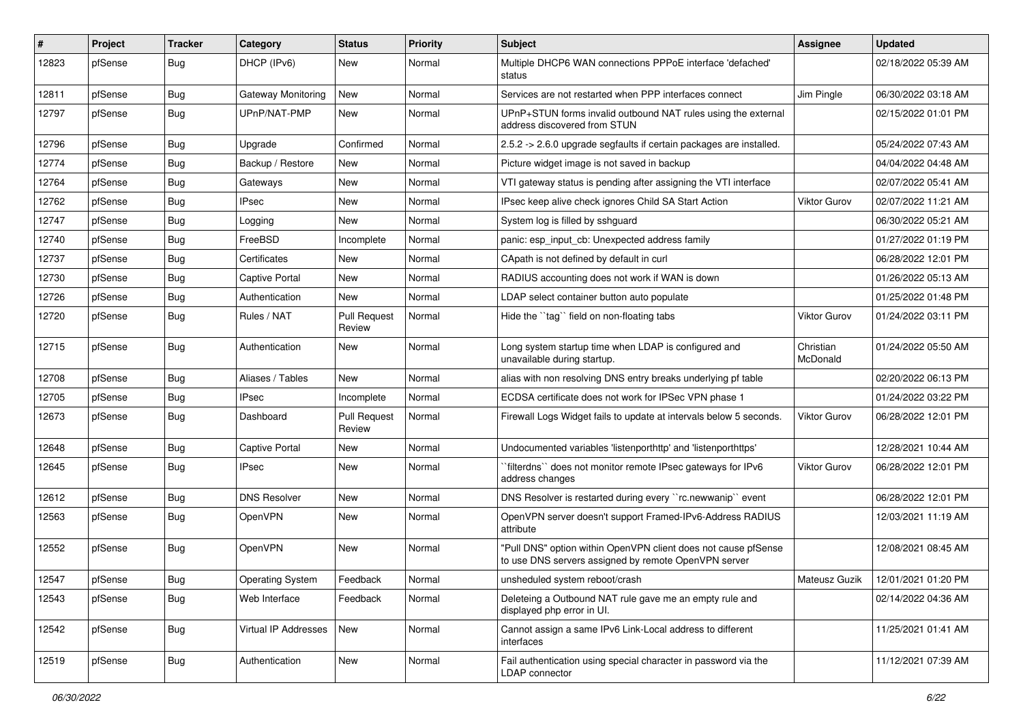| #     | Project | <b>Tracker</b> | Category              | <b>Status</b>                 | Priority | <b>Subject</b>                                                                                                         | Assignee              | <b>Updated</b>      |
|-------|---------|----------------|-----------------------|-------------------------------|----------|------------------------------------------------------------------------------------------------------------------------|-----------------------|---------------------|
| 12823 | pfSense | Bug            | DHCP (IPv6)           | New                           | Normal   | Multiple DHCP6 WAN connections PPPoE interface 'defached'<br>status                                                    |                       | 02/18/2022 05:39 AM |
| 12811 | pfSense | Bug            | Gateway Monitoring    | New                           | Normal   | Services are not restarted when PPP interfaces connect                                                                 | Jim Pingle            | 06/30/2022 03:18 AM |
| 12797 | pfSense | Bug            | UPnP/NAT-PMP          | New                           | Normal   | UPnP+STUN forms invalid outbound NAT rules using the external<br>address discovered from STUN                          |                       | 02/15/2022 01:01 PM |
| 12796 | pfSense | Bug            | Upgrade               | Confirmed                     | Normal   | 2.5.2 -> 2.6.0 upgrade segfaults if certain packages are installed.                                                    |                       | 05/24/2022 07:43 AM |
| 12774 | pfSense | <b>Bug</b>     | Backup / Restore      | New                           | Normal   | Picture widget image is not saved in backup                                                                            |                       | 04/04/2022 04:48 AM |
| 12764 | pfSense | <b>Bug</b>     | Gateways              | <b>New</b>                    | Normal   | VTI gateway status is pending after assigning the VTI interface                                                        |                       | 02/07/2022 05:41 AM |
| 12762 | pfSense | <b>Bug</b>     | <b>IPsec</b>          | New                           | Normal   | IPsec keep alive check ignores Child SA Start Action                                                                   | Viktor Gurov          | 02/07/2022 11:21 AM |
| 12747 | pfSense | <b>Bug</b>     | Logging               | New                           | Normal   | System log is filled by sshguard                                                                                       |                       | 06/30/2022 05:21 AM |
| 12740 | pfSense | <b>Bug</b>     | FreeBSD               | Incomplete                    | Normal   | panic: esp input cb: Unexpected address family                                                                         |                       | 01/27/2022 01:19 PM |
| 12737 | pfSense | <b>Bug</b>     | Certificates          | New                           | Normal   | CApath is not defined by default in curl                                                                               |                       | 06/28/2022 12:01 PM |
| 12730 | pfSense | Bug            | <b>Captive Portal</b> | New                           | Normal   | RADIUS accounting does not work if WAN is down                                                                         |                       | 01/26/2022 05:13 AM |
| 12726 | pfSense | <b>Bug</b>     | Authentication        | New                           | Normal   | LDAP select container button auto populate                                                                             |                       | 01/25/2022 01:48 PM |
| 12720 | pfSense | <b>Bug</b>     | Rules / NAT           | <b>Pull Request</b><br>Review | Normal   | Hide the "tag" field on non-floating tabs                                                                              | <b>Viktor Gurov</b>   | 01/24/2022 03:11 PM |
| 12715 | pfSense | Bug            | Authentication        | New                           | Normal   | Long system startup time when LDAP is configured and<br>unavailable during startup.                                    | Christian<br>McDonald | 01/24/2022 05:50 AM |
| 12708 | pfSense | <b>Bug</b>     | Aliases / Tables      | New                           | Normal   | alias with non resolving DNS entry breaks underlying pf table                                                          |                       | 02/20/2022 06:13 PM |
| 12705 | pfSense | <b>Bug</b>     | IPsec                 | Incomplete                    | Normal   | ECDSA certificate does not work for IPSec VPN phase 1                                                                  |                       | 01/24/2022 03:22 PM |
| 12673 | pfSense | Bug            | Dashboard             | <b>Pull Request</b><br>Review | Normal   | Firewall Logs Widget fails to update at intervals below 5 seconds.                                                     | Viktor Gurov          | 06/28/2022 12:01 PM |
| 12648 | pfSense | Bug            | <b>Captive Portal</b> | New                           | Normal   | Undocumented variables 'listenporthttp' and 'listenporthttps'                                                          |                       | 12/28/2021 10:44 AM |
| 12645 | pfSense | Bug            | <b>IPsec</b>          | New                           | Normal   | 'filterdns'' does not monitor remote IPsec gateways for IPv6<br>address changes                                        | <b>Viktor Gurov</b>   | 06/28/2022 12:01 PM |
| 12612 | pfSense | <b>Bug</b>     | <b>DNS Resolver</b>   | New                           | Normal   | DNS Resolver is restarted during every "rc.newwanip" event                                                             |                       | 06/28/2022 12:01 PM |
| 12563 | pfSense | <b>Bug</b>     | OpenVPN               | New                           | Normal   | OpenVPN server doesn't support Framed-IPv6-Address RADIUS<br>attribute                                                 |                       | 12/03/2021 11:19 AM |
| 12552 | pfSense | <b>Bug</b>     | OpenVPN               | <b>New</b>                    | Normal   | "Pull DNS" option within OpenVPN client does not cause pfSense<br>to use DNS servers assigned by remote OpenVPN server |                       | 12/08/2021 08:45 AM |
| 12547 | pfSense | <b>Bug</b>     | Operating System      | Feedback                      | Normal   | unsheduled system reboot/crash                                                                                         | Mateusz Guzik         | 12/01/2021 01:20 PM |
| 12543 | pfSense | Bug            | Web Interface         | Feedback                      | Normal   | Deleteing a Outbound NAT rule gave me an empty rule and<br>displayed php error in UI.                                  |                       | 02/14/2022 04:36 AM |
| 12542 | pfSense | Bug            | Virtual IP Addresses  | New                           | Normal   | Cannot assign a same IPv6 Link-Local address to different<br>interfaces                                                |                       | 11/25/2021 01:41 AM |
| 12519 | pfSense | <b>Bug</b>     | Authentication        | New                           | Normal   | Fail authentication using special character in password via the<br>LDAP connector                                      |                       | 11/12/2021 07:39 AM |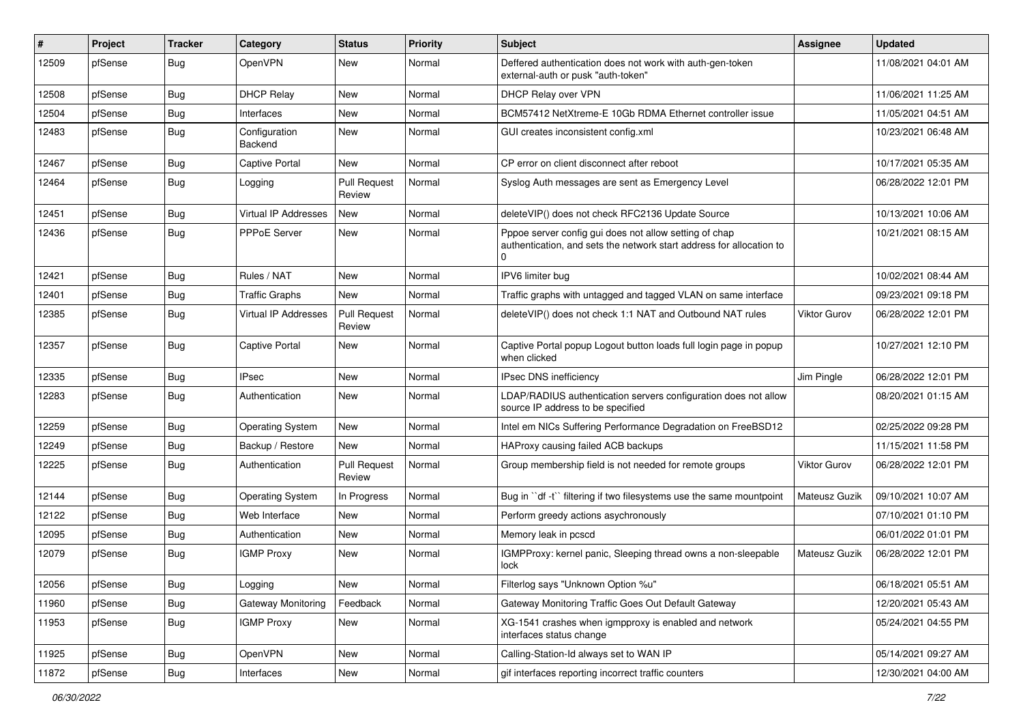| #     | Project | Tracker    | Category                 | <b>Status</b>                 | Priority | Subject                                                                                                                                    | Assignee      | <b>Updated</b>      |
|-------|---------|------------|--------------------------|-------------------------------|----------|--------------------------------------------------------------------------------------------------------------------------------------------|---------------|---------------------|
| 12509 | pfSense | Bug        | OpenVPN                  | New                           | Normal   | Deffered authentication does not work with auth-gen-token<br>external-auth or pusk "auth-token"                                            |               | 11/08/2021 04:01 AM |
| 12508 | pfSense | Bug        | <b>DHCP Relay</b>        | New                           | Normal   | DHCP Relay over VPN                                                                                                                        |               | 11/06/2021 11:25 AM |
| 12504 | pfSense | Bug        | Interfaces               | New                           | Normal   | BCM57412 NetXtreme-E 10Gb RDMA Ethernet controller issue                                                                                   |               | 11/05/2021 04:51 AM |
| 12483 | pfSense | <b>Bug</b> | Configuration<br>Backend | New                           | Normal   | GUI creates inconsistent config.xml                                                                                                        |               | 10/23/2021 06:48 AM |
| 12467 | pfSense | Bug        | <b>Captive Portal</b>    | New                           | Normal   | CP error on client disconnect after reboot                                                                                                 |               | 10/17/2021 05:35 AM |
| 12464 | pfSense | <b>Bug</b> | Logging                  | <b>Pull Request</b><br>Review | Normal   | Syslog Auth messages are sent as Emergency Level                                                                                           |               | 06/28/2022 12:01 PM |
| 12451 | pfSense | <b>Bug</b> | Virtual IP Addresses     | <b>New</b>                    | Normal   | deleteVIP() does not check RFC2136 Update Source                                                                                           |               | 10/13/2021 10:06 AM |
| 12436 | pfSense | Bug        | PPPoE Server             | New                           | Normal   | Pppoe server config gui does not allow setting of chap<br>authentication, and sets the network start address for allocation to<br>$\Omega$ |               | 10/21/2021 08:15 AM |
| 12421 | pfSense | Bug        | Rules / NAT              | New                           | Normal   | IPV6 limiter bug                                                                                                                           |               | 10/02/2021 08:44 AM |
| 12401 | pfSense | Bug        | <b>Traffic Graphs</b>    | New                           | Normal   | Traffic graphs with untagged and tagged VLAN on same interface                                                                             |               | 09/23/2021 09:18 PM |
| 12385 | pfSense | <b>Bug</b> | Virtual IP Addresses     | <b>Pull Request</b><br>Review | Normal   | deleteVIP() does not check 1:1 NAT and Outbound NAT rules                                                                                  | Viktor Gurov  | 06/28/2022 12:01 PM |
| 12357 | pfSense | Bug        | <b>Captive Portal</b>    | New                           | Normal   | Captive Portal popup Logout button loads full login page in popup<br>when clicked                                                          |               | 10/27/2021 12:10 PM |
| 12335 | pfSense | Bug        | <b>IPsec</b>             | New                           | Normal   | IPsec DNS inefficiency                                                                                                                     | Jim Pingle    | 06/28/2022 12:01 PM |
| 12283 | pfSense | <b>Bug</b> | Authentication           | New                           | Normal   | LDAP/RADIUS authentication servers configuration does not allow<br>source IP address to be specified                                       |               | 08/20/2021 01:15 AM |
| 12259 | pfSense | <b>Bug</b> | <b>Operating System</b>  | <b>New</b>                    | Normal   | Intel em NICs Suffering Performance Degradation on FreeBSD12                                                                               |               | 02/25/2022 09:28 PM |
| 12249 | pfSense | <b>Bug</b> | Backup / Restore         | New                           | Normal   | HAProxy causing failed ACB backups                                                                                                         |               | 11/15/2021 11:58 PM |
| 12225 | pfSense | <b>Bug</b> | Authentication           | <b>Pull Request</b><br>Review | Normal   | Group membership field is not needed for remote groups                                                                                     | Viktor Gurov  | 06/28/2022 12:01 PM |
| 12144 | pfSense | <b>Bug</b> | <b>Operating System</b>  | In Progress                   | Normal   | Bug in "df -t" filtering if two filesystems use the same mountpoint                                                                        | Mateusz Guzik | 09/10/2021 10:07 AM |
| 12122 | pfSense | <b>Bug</b> | Web Interface            | New                           | Normal   | Perform greedy actions asychronously                                                                                                       |               | 07/10/2021 01:10 PM |
| 12095 | pfSense | <b>Bug</b> | Authentication           | New                           | Normal   | Memory leak in pcscd                                                                                                                       |               | 06/01/2022 01:01 PM |
| 12079 | pfSense | <b>Bug</b> | <b>IGMP Proxy</b>        | New                           | Normal   | IGMPProxy: kernel panic, Sleeping thread owns a non-sleepable<br>lock                                                                      | Mateusz Guzik | 06/28/2022 12:01 PM |
| 12056 | pfSense | Bug        | Logging                  | New                           | Normal   | Filterlog says "Unknown Option %u"                                                                                                         |               | 06/18/2021 05:51 AM |
| 11960 | pfSense | <b>Bug</b> | Gateway Monitoring       | Feedback                      | Normal   | Gateway Monitoring Traffic Goes Out Default Gateway                                                                                        |               | 12/20/2021 05:43 AM |
| 11953 | pfSense | Bug        | <b>IGMP Proxy</b>        | New                           | Normal   | XG-1541 crashes when igmpproxy is enabled and network<br>interfaces status change                                                          |               | 05/24/2021 04:55 PM |
| 11925 | pfSense | Bug        | OpenVPN                  | New                           | Normal   | Calling-Station-Id always set to WAN IP                                                                                                    |               | 05/14/2021 09:27 AM |
| 11872 | pfSense | <b>Bug</b> | Interfaces               | New                           | Normal   | gif interfaces reporting incorrect traffic counters                                                                                        |               | 12/30/2021 04:00 AM |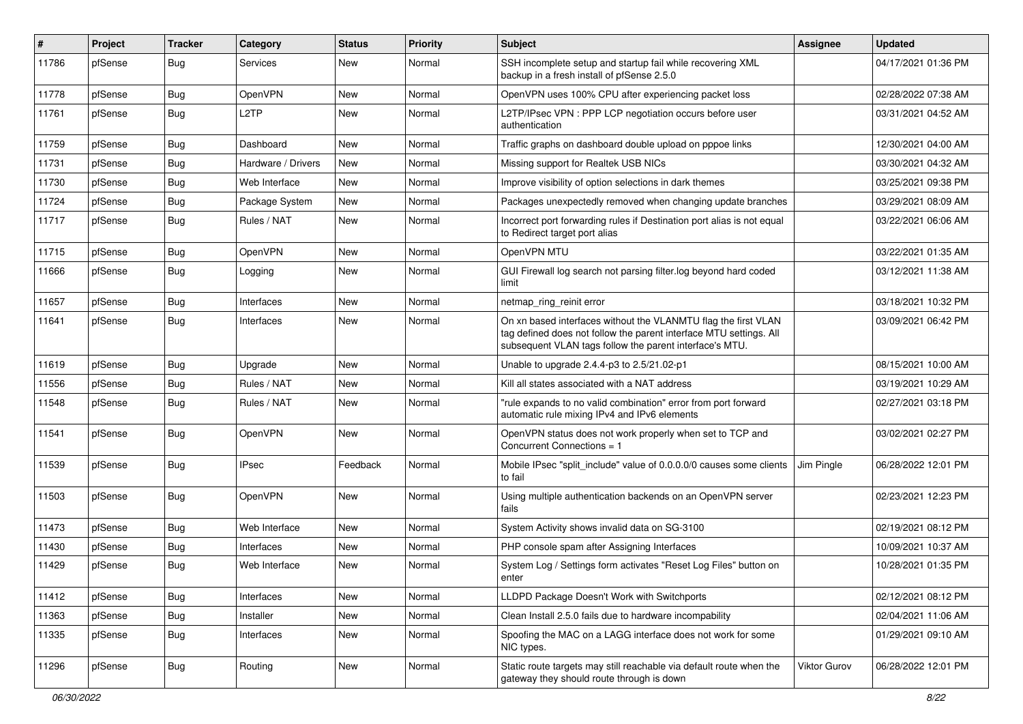| $\pmb{\sharp}$ | Project | <b>Tracker</b> | Category           | <b>Status</b> | <b>Priority</b> | <b>Subject</b>                                                                                                                                                                                  | Assignee            | <b>Updated</b>      |
|----------------|---------|----------------|--------------------|---------------|-----------------|-------------------------------------------------------------------------------------------------------------------------------------------------------------------------------------------------|---------------------|---------------------|
| 11786          | pfSense | <b>Bug</b>     | Services           | New           | Normal          | SSH incomplete setup and startup fail while recovering XML<br>backup in a fresh install of pfSense 2.5.0                                                                                        |                     | 04/17/2021 01:36 PM |
| 11778          | pfSense | Bug            | OpenVPN            | New           | Normal          | OpenVPN uses 100% CPU after experiencing packet loss                                                                                                                                            |                     | 02/28/2022 07:38 AM |
| 11761          | pfSense | <b>Bug</b>     | L <sub>2</sub> TP  | New           | Normal          | L2TP/IPsec VPN : PPP LCP negotiation occurs before user<br>authentication                                                                                                                       |                     | 03/31/2021 04:52 AM |
| 11759          | pfSense | Bug            | Dashboard          | New           | Normal          | Traffic graphs on dashboard double upload on pppoe links                                                                                                                                        |                     | 12/30/2021 04:00 AM |
| 11731          | pfSense | Bug            | Hardware / Drivers | New           | Normal          | Missing support for Realtek USB NICs                                                                                                                                                            |                     | 03/30/2021 04:32 AM |
| 11730          | pfSense | <b>Bug</b>     | Web Interface      | <b>New</b>    | Normal          | Improve visibility of option selections in dark themes                                                                                                                                          |                     | 03/25/2021 09:38 PM |
| 11724          | pfSense | <b>Bug</b>     | Package System     | New           | Normal          | Packages unexpectedly removed when changing update branches                                                                                                                                     |                     | 03/29/2021 08:09 AM |
| 11717          | pfSense | <b>Bug</b>     | Rules / NAT        | New           | Normal          | Incorrect port forwarding rules if Destination port alias is not equal<br>to Redirect target port alias                                                                                         |                     | 03/22/2021 06:06 AM |
| 11715          | pfSense | <b>Bug</b>     | OpenVPN            | New           | Normal          | OpenVPN MTU                                                                                                                                                                                     |                     | 03/22/2021 01:35 AM |
| 11666          | pfSense | <b>Bug</b>     | Logging            | New           | Normal          | GUI Firewall log search not parsing filter.log beyond hard coded<br>limit                                                                                                                       |                     | 03/12/2021 11:38 AM |
| 11657          | pfSense | <b>Bug</b>     | Interfaces         | <b>New</b>    | Normal          | netmap_ring_reinit error                                                                                                                                                                        |                     | 03/18/2021 10:32 PM |
| 11641          | pfSense | Bug            | Interfaces         | New           | Normal          | On xn based interfaces without the VLANMTU flag the first VLAN<br>tag defined does not follow the parent interface MTU settings. All<br>subsequent VLAN tags follow the parent interface's MTU. |                     | 03/09/2021 06:42 PM |
| 11619          | pfSense | Bug            | Upgrade            | <b>New</b>    | Normal          | Unable to upgrade 2.4.4-p3 to 2.5/21.02-p1                                                                                                                                                      |                     | 08/15/2021 10:00 AM |
| 11556          | pfSense | Bug            | Rules / NAT        | New           | Normal          | Kill all states associated with a NAT address                                                                                                                                                   |                     | 03/19/2021 10:29 AM |
| 11548          | pfSense | Bug            | Rules / NAT        | New           | Normal          | "rule expands to no valid combination" error from port forward<br>automatic rule mixing IPv4 and IPv6 elements                                                                                  |                     | 02/27/2021 03:18 PM |
| 11541          | pfSense | Bug            | OpenVPN            | New           | Normal          | OpenVPN status does not work properly when set to TCP and<br>Concurrent Connections = 1                                                                                                         |                     | 03/02/2021 02:27 PM |
| 11539          | pfSense | <b>Bug</b>     | <b>IPsec</b>       | Feedback      | Normal          | Mobile IPsec "split include" value of 0.0.0.0/0 causes some clients<br>to fail                                                                                                                  | Jim Pingle          | 06/28/2022 12:01 PM |
| 11503          | pfSense | Bug            | OpenVPN            | New           | Normal          | Using multiple authentication backends on an OpenVPN server<br>fails                                                                                                                            |                     | 02/23/2021 12:23 PM |
| 11473          | pfSense | Bug            | Web Interface      | New           | Normal          | System Activity shows invalid data on SG-3100                                                                                                                                                   |                     | 02/19/2021 08:12 PM |
| 11430          | pfSense | <b>Bug</b>     | Interfaces         | <b>New</b>    | Normal          | PHP console spam after Assigning Interfaces                                                                                                                                                     |                     | 10/09/2021 10:37 AM |
| 11429          | pfSense | <b>Bug</b>     | Web Interface      | New           | Normal          | System Log / Settings form activates "Reset Log Files" button on<br>enter                                                                                                                       |                     | 10/28/2021 01:35 PM |
| 11412          | pfSense | Bug            | Interfaces         | New           | Normal          | LLDPD Package Doesn't Work with Switchports                                                                                                                                                     |                     | 02/12/2021 08:12 PM |
| 11363          | pfSense | <b>Bug</b>     | Installer          | New           | Normal          | Clean Install 2.5.0 fails due to hardware incompability                                                                                                                                         |                     | 02/04/2021 11:06 AM |
| 11335          | pfSense | <b>Bug</b>     | Interfaces         | New           | Normal          | Spoofing the MAC on a LAGG interface does not work for some<br>NIC types.                                                                                                                       |                     | 01/29/2021 09:10 AM |
| 11296          | pfSense | <b>Bug</b>     | Routing            | New           | Normal          | Static route targets may still reachable via default route when the<br>gateway they should route through is down                                                                                | <b>Viktor Gurov</b> | 06/28/2022 12:01 PM |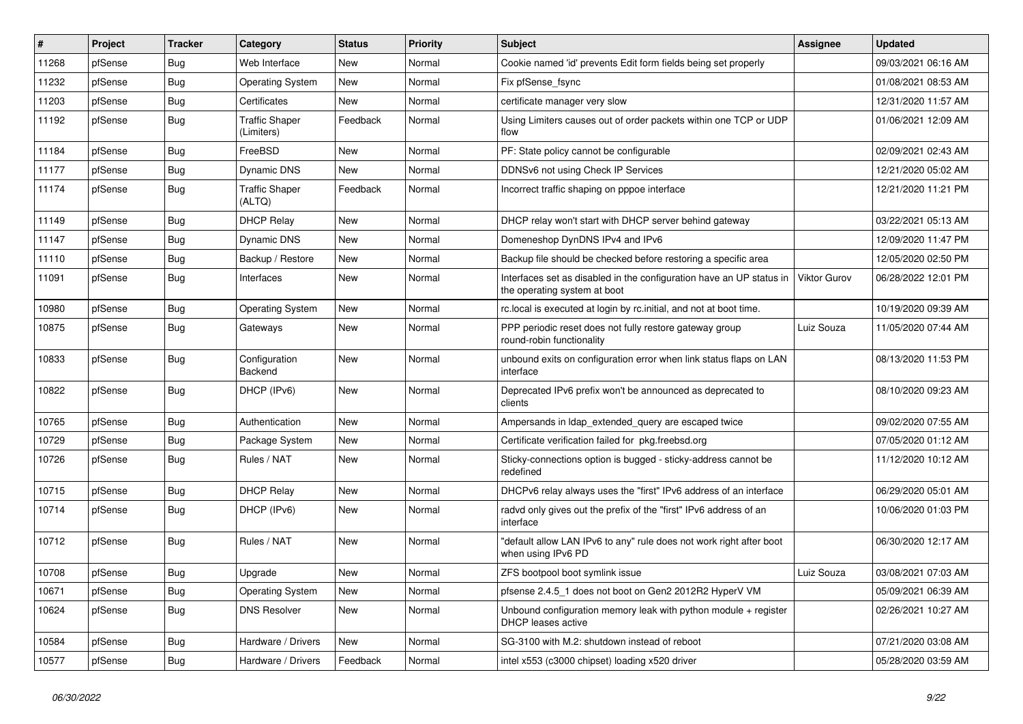| #     | Project | <b>Tracker</b> | Category                            | <b>Status</b> | Priority | <b>Subject</b>                                                                                       | Assignee     | <b>Updated</b>      |
|-------|---------|----------------|-------------------------------------|---------------|----------|------------------------------------------------------------------------------------------------------|--------------|---------------------|
| 11268 | pfSense | <b>Bug</b>     | Web Interface                       | New           | Normal   | Cookie named 'id' prevents Edit form fields being set properly                                       |              | 09/03/2021 06:16 AM |
| 11232 | pfSense | <b>Bug</b>     | <b>Operating System</b>             | New           | Normal   | Fix pfSense fsync                                                                                    |              | 01/08/2021 08:53 AM |
| 11203 | pfSense | <b>Bug</b>     | Certificates                        | New           | Normal   | certificate manager very slow                                                                        |              | 12/31/2020 11:57 AM |
| 11192 | pfSense | <b>Bug</b>     | <b>Traffic Shaper</b><br>(Limiters) | Feedback      | Normal   | Using Limiters causes out of order packets within one TCP or UDP<br>flow                             |              | 01/06/2021 12:09 AM |
| 11184 | pfSense | Bug            | FreeBSD                             | New           | Normal   | PF: State policy cannot be configurable                                                              |              | 02/09/2021 02:43 AM |
| 11177 | pfSense | Bug            | Dynamic DNS                         | New           | Normal   | DDNSv6 not using Check IP Services                                                                   |              | 12/21/2020 05:02 AM |
| 11174 | pfSense | Bug            | <b>Traffic Shaper</b><br>(ALTQ)     | Feedback      | Normal   | Incorrect traffic shaping on pppoe interface                                                         |              | 12/21/2020 11:21 PM |
| 11149 | pfSense | Bug            | <b>DHCP Relay</b>                   | New           | Normal   | DHCP relay won't start with DHCP server behind gateway                                               |              | 03/22/2021 05:13 AM |
| 11147 | pfSense | <b>Bug</b>     | Dynamic DNS                         | New           | Normal   | Domeneshop DynDNS IPv4 and IPv6                                                                      |              | 12/09/2020 11:47 PM |
| 11110 | pfSense | <b>Bug</b>     | Backup / Restore                    | New           | Normal   | Backup file should be checked before restoring a specific area                                       |              | 12/05/2020 02:50 PM |
| 11091 | pfSense | Bug            | Interfaces                          | New           | Normal   | Interfaces set as disabled in the configuration have an UP status in<br>the operating system at boot | Viktor Gurov | 06/28/2022 12:01 PM |
| 10980 | pfSense | <b>Bug</b>     | <b>Operating System</b>             | New           | Normal   | rc.local is executed at login by rc.initial, and not at boot time.                                   |              | 10/19/2020 09:39 AM |
| 10875 | pfSense | <b>Bug</b>     | Gateways                            | New           | Normal   | PPP periodic reset does not fully restore gateway group<br>round-robin functionality                 | Luiz Souza   | 11/05/2020 07:44 AM |
| 10833 | pfSense | <b>Bug</b>     | Configuration<br>Backend            | New           | Normal   | unbound exits on configuration error when link status flaps on LAN<br>interface                      |              | 08/13/2020 11:53 PM |
| 10822 | pfSense | <b>Bug</b>     | DHCP (IPv6)                         | New           | Normal   | Deprecated IPv6 prefix won't be announced as deprecated to<br>clients                                |              | 08/10/2020 09:23 AM |
| 10765 | pfSense | Bug            | Authentication                      | New           | Normal   | Ampersands in Idap extended query are escaped twice                                                  |              | 09/02/2020 07:55 AM |
| 10729 | pfSense | <b>Bug</b>     | Package System                      | New           | Normal   | Certificate verification failed for pkg.freebsd.org                                                  |              | 07/05/2020 01:12 AM |
| 10726 | pfSense | <b>Bug</b>     | Rules / NAT                         | <b>New</b>    | Normal   | Sticky-connections option is bugged - sticky-address cannot be<br>redefined                          |              | 11/12/2020 10:12 AM |
| 10715 | pfSense | Bug            | <b>DHCP Relay</b>                   | New           | Normal   | DHCPv6 relay always uses the "first" IPv6 address of an interface                                    |              | 06/29/2020 05:01 AM |
| 10714 | pfSense | <b>Bug</b>     | DHCP (IPv6)                         | New           | Normal   | radvd only gives out the prefix of the "first" IPv6 address of an<br>interface                       |              | 10/06/2020 01:03 PM |
| 10712 | pfSense | <b>Bug</b>     | Rules / NAT                         | New           | Normal   | "default allow LAN IPv6 to any" rule does not work right after boot<br>when using IPv6 PD            |              | 06/30/2020 12:17 AM |
| 10708 | pfSense | <b>Bug</b>     | Upgrade                             | New           | Normal   | ZFS bootpool boot symlink issue                                                                      | Luiz Souza   | 03/08/2021 07:03 AM |
| 10671 | pfSense | <b>Bug</b>     | <b>Operating System</b>             | New           | Normal   | pfsense 2.4.5_1 does not boot on Gen2 2012R2 HyperV VM                                               |              | 05/09/2021 06:39 AM |
| 10624 | pfSense | <b>Bug</b>     | <b>DNS Resolver</b>                 | New           | Normal   | Unbound configuration memory leak with python module $+$ register<br>DHCP leases active              |              | 02/26/2021 10:27 AM |
| 10584 | pfSense | <b>Bug</b>     | Hardware / Drivers                  | New           | Normal   | SG-3100 with M.2: shutdown instead of reboot                                                         |              | 07/21/2020 03:08 AM |
| 10577 | pfSense | Bug            | Hardware / Drivers                  | Feedback      | Normal   | intel x553 (c3000 chipset) loading x520 driver                                                       |              | 05/28/2020 03:59 AM |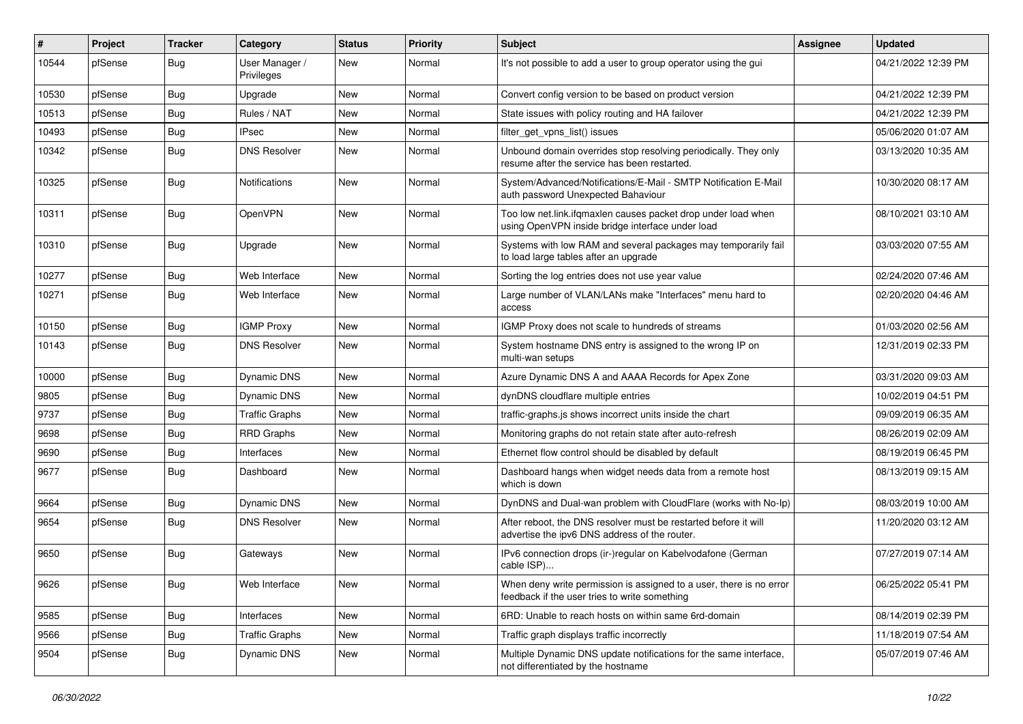| $\vert$ # | Project | <b>Tracker</b> | Category                     | <b>Status</b> | <b>Priority</b> | <b>Subject</b>                                                                                                       | Assignee | <b>Updated</b>      |
|-----------|---------|----------------|------------------------------|---------------|-----------------|----------------------------------------------------------------------------------------------------------------------|----------|---------------------|
| 10544     | pfSense | <b>Bug</b>     | User Manager /<br>Privileges | New           | Normal          | It's not possible to add a user to group operator using the gui                                                      |          | 04/21/2022 12:39 PM |
| 10530     | pfSense | Bug            | Upgrade                      | <b>New</b>    | Normal          | Convert config version to be based on product version                                                                |          | 04/21/2022 12:39 PM |
| 10513     | pfSense | <b>Bug</b>     | Rules / NAT                  | New           | Normal          | State issues with policy routing and HA failover                                                                     |          | 04/21/2022 12:39 PM |
| 10493     | pfSense | Bug            | IPsec                        | New           | Normal          | filter_get_vpns_list() issues                                                                                        |          | 05/06/2020 01:07 AM |
| 10342     | pfSense | Bug            | <b>DNS Resolver</b>          | New           | Normal          | Unbound domain overrides stop resolving periodically. They only<br>resume after the service has been restarted.      |          | 03/13/2020 10:35 AM |
| 10325     | pfSense | <b>Bug</b>     | <b>Notifications</b>         | <b>New</b>    | Normal          | System/Advanced/Notifications/E-Mail - SMTP Notification E-Mail<br>auth password Unexpected Bahaviour                |          | 10/30/2020 08:17 AM |
| 10311     | pfSense | Bug            | OpenVPN                      | New           | Normal          | Too low net.link.ifqmaxlen causes packet drop under load when<br>using OpenVPN inside bridge interface under load    |          | 08/10/2021 03:10 AM |
| 10310     | pfSense | Bug            | Upgrade                      | <b>New</b>    | Normal          | Systems with low RAM and several packages may temporarily fail<br>to load large tables after an upgrade              |          | 03/03/2020 07:55 AM |
| 10277     | pfSense | Bug            | Web Interface                | New           | Normal          | Sorting the log entries does not use year value                                                                      |          | 02/24/2020 07:46 AM |
| 10271     | pfSense | <b>Bug</b>     | Web Interface                | New           | Normal          | Large number of VLAN/LANs make "Interfaces" menu hard to<br>access                                                   |          | 02/20/2020 04:46 AM |
| 10150     | pfSense | Bug            | <b>IGMP Proxy</b>            | <b>New</b>    | Normal          | IGMP Proxy does not scale to hundreds of streams                                                                     |          | 01/03/2020 02:56 AM |
| 10143     | pfSense | <b>Bug</b>     | <b>DNS Resolver</b>          | New           | Normal          | System hostname DNS entry is assigned to the wrong IP on<br>multi-wan setups                                         |          | 12/31/2019 02:33 PM |
| 10000     | pfSense | Bug            | Dynamic DNS                  | New           | Normal          | Azure Dynamic DNS A and AAAA Records for Apex Zone                                                                   |          | 03/31/2020 09:03 AM |
| 9805      | pfSense | Bug            | <b>Dynamic DNS</b>           | New           | Normal          | dynDNS cloudflare multiple entries                                                                                   |          | 10/02/2019 04:51 PM |
| 9737      | pfSense | <b>Bug</b>     | <b>Traffic Graphs</b>        | New           | Normal          | traffic-graphs.js shows incorrect units inside the chart                                                             |          | 09/09/2019 06:35 AM |
| 9698      | pfSense | <b>Bug</b>     | <b>RRD Graphs</b>            | New           | Normal          | Monitoring graphs do not retain state after auto-refresh                                                             |          | 08/26/2019 02:09 AM |
| 9690      | pfSense | Bug            | Interfaces                   | New           | Normal          | Ethernet flow control should be disabled by default                                                                  |          | 08/19/2019 06:45 PM |
| 9677      | pfSense | <b>Bug</b>     | Dashboard                    | New           | Normal          | Dashboard hangs when widget needs data from a remote host<br>which is down                                           |          | 08/13/2019 09:15 AM |
| 9664      | pfSense | Bug            | Dynamic DNS                  | <b>New</b>    | Normal          | DynDNS and Dual-wan problem with CloudFlare (works with No-Ip)                                                       |          | 08/03/2019 10:00 AM |
| 9654      | pfSense | Bug            | <b>DNS Resolver</b>          | New           | Normal          | After reboot, the DNS resolver must be restarted before it will<br>advertise the ipv6 DNS address of the router.     |          | 11/20/2020 03:12 AM |
| 9650      | pfSense | Bug            | Gateways                     | New           | Normal          | IPv6 connection drops (ir-)regular on Kabelvodafone (German<br>cable ISP)                                            |          | 07/27/2019 07:14 AM |
| 9626      | pfSense | <b>Bug</b>     | Web Interface                | New           | Normal          | When deny write permission is assigned to a user, there is no error<br>feedback if the user tries to write something |          | 06/25/2022 05:41 PM |
| 9585      | pfSense | Bug            | Interfaces                   | <b>New</b>    | Normal          | 6RD: Unable to reach hosts on within same 6rd-domain                                                                 |          | 08/14/2019 02:39 PM |
| 9566      | pfSense | Bug            | <b>Traffic Graphs</b>        | New           | Normal          | Traffic graph displays traffic incorrectly                                                                           |          | 11/18/2019 07:54 AM |
| 9504      | pfSense | <b>Bug</b>     | <b>Dynamic DNS</b>           | New           | Normal          | Multiple Dynamic DNS update notifications for the same interface,<br>not differentiated by the hostname              |          | 05/07/2019 07:46 AM |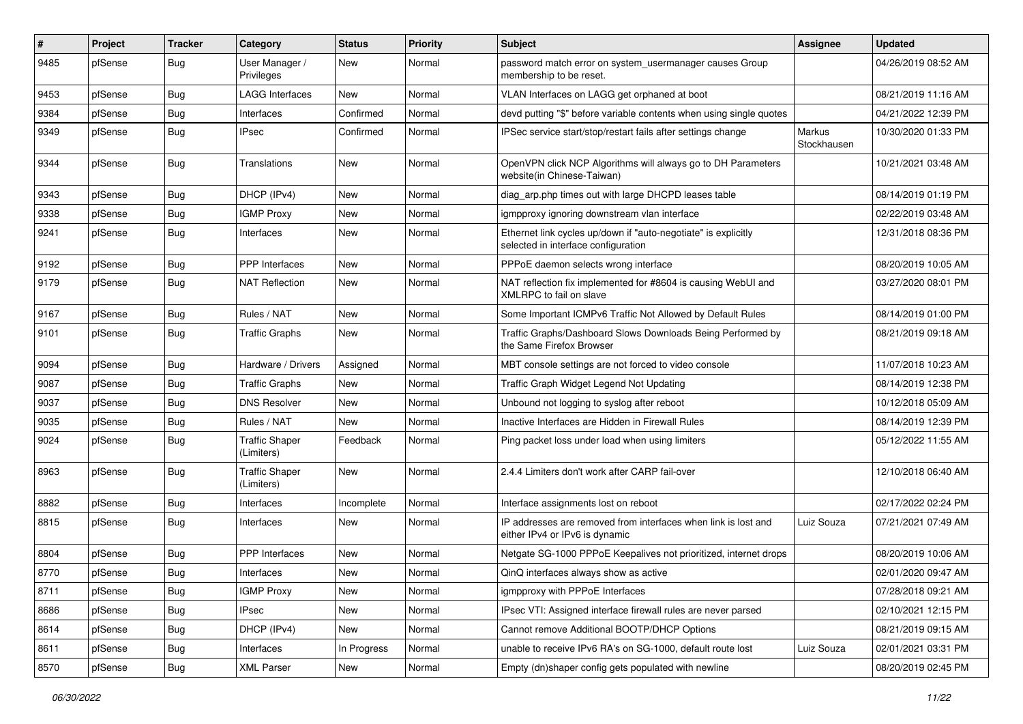| #    | Project | <b>Tracker</b> | Category                            | <b>Status</b> | <b>Priority</b> | <b>Subject</b>                                                                                        | Assignee              | <b>Updated</b>      |
|------|---------|----------------|-------------------------------------|---------------|-----------------|-------------------------------------------------------------------------------------------------------|-----------------------|---------------------|
| 9485 | pfSense | <b>Bug</b>     | User Manager /<br>Privileges        | New           | Normal          | password match error on system usermanager causes Group<br>membership to be reset.                    |                       | 04/26/2019 08:52 AM |
| 9453 | pfSense | Bug            | <b>LAGG Interfaces</b>              | New           | Normal          | VLAN Interfaces on LAGG get orphaned at boot                                                          |                       | 08/21/2019 11:16 AM |
| 9384 | pfSense | Bug            | Interfaces                          | Confirmed     | Normal          | devd putting "\$" before variable contents when using single quotes                                   |                       | 04/21/2022 12:39 PM |
| 9349 | pfSense | Bug            | <b>IPsec</b>                        | Confirmed     | Normal          | IPSec service start/stop/restart fails after settings change                                          | Markus<br>Stockhausen | 10/30/2020 01:33 PM |
| 9344 | pfSense | Bug            | Translations                        | New           | Normal          | OpenVPN click NCP Algorithms will always go to DH Parameters<br>website(in Chinese-Taiwan)            |                       | 10/21/2021 03:48 AM |
| 9343 | pfSense | <b>Bug</b>     | DHCP (IPv4)                         | New           | Normal          | diag_arp.php times out with large DHCPD leases table                                                  |                       | 08/14/2019 01:19 PM |
| 9338 | pfSense | Bug            | <b>IGMP Proxy</b>                   | New           | Normal          | igmpproxy ignoring downstream vlan interface                                                          |                       | 02/22/2019 03:48 AM |
| 9241 | pfSense | Bug            | Interfaces                          | New           | Normal          | Ethernet link cycles up/down if "auto-negotiate" is explicitly<br>selected in interface configuration |                       | 12/31/2018 08:36 PM |
| 9192 | pfSense | Bug            | <b>PPP</b> Interfaces               | <b>New</b>    | Normal          | PPPoE daemon selects wrong interface                                                                  |                       | 08/20/2019 10:05 AM |
| 9179 | pfSense | Bug            | <b>NAT Reflection</b>               | New           | Normal          | NAT reflection fix implemented for #8604 is causing WebUI and<br>XMLRPC to fail on slave              |                       | 03/27/2020 08:01 PM |
| 9167 | pfSense | Bug            | Rules / NAT                         | <b>New</b>    | Normal          | Some Important ICMPv6 Traffic Not Allowed by Default Rules                                            |                       | 08/14/2019 01:00 PM |
| 9101 | pfSense | <b>Bug</b>     | <b>Traffic Graphs</b>               | New           | Normal          | Traffic Graphs/Dashboard Slows Downloads Being Performed by<br>the Same Firefox Browser               |                       | 08/21/2019 09:18 AM |
| 9094 | pfSense | Bug            | Hardware / Drivers                  | Assigned      | Normal          | MBT console settings are not forced to video console                                                  |                       | 11/07/2018 10:23 AM |
| 9087 | pfSense | Bug            | <b>Traffic Graphs</b>               | New           | Normal          | Traffic Graph Widget Legend Not Updating                                                              |                       | 08/14/2019 12:38 PM |
| 9037 | pfSense | Bug            | <b>DNS Resolver</b>                 | <b>New</b>    | Normal          | Unbound not logging to syslog after reboot                                                            |                       | 10/12/2018 05:09 AM |
| 9035 | pfSense | Bug            | Rules / NAT                         | New           | Normal          | Inactive Interfaces are Hidden in Firewall Rules                                                      |                       | 08/14/2019 12:39 PM |
| 9024 | pfSense | <b>Bug</b>     | <b>Traffic Shaper</b><br>(Limiters) | Feedback      | Normal          | Ping packet loss under load when using limiters                                                       |                       | 05/12/2022 11:55 AM |
| 8963 | pfSense | <b>Bug</b>     | <b>Traffic Shaper</b><br>(Limiters) | New           | Normal          | 2.4.4 Limiters don't work after CARP fail-over                                                        |                       | 12/10/2018 06:40 AM |
| 8882 | pfSense | <b>Bug</b>     | Interfaces                          | Incomplete    | Normal          | Interface assignments lost on reboot                                                                  |                       | 02/17/2022 02:24 PM |
| 8815 | pfSense | Bug            | Interfaces                          | New           | Normal          | IP addresses are removed from interfaces when link is lost and<br>either IPv4 or IPv6 is dynamic      | Luiz Souza            | 07/21/2021 07:49 AM |
| 8804 | pfSense | <b>Bug</b>     | <b>PPP</b> Interfaces               | New           | Normal          | Netgate SG-1000 PPPoE Keepalives not prioritized, internet drops                                      |                       | 08/20/2019 10:06 AM |
| 8770 | pfSense | Bug            | Interfaces                          | New           | Normal          | QinQ interfaces always show as active                                                                 |                       | 02/01/2020 09:47 AM |
| 8711 | pfSense | Bug            | <b>IGMP Proxy</b>                   | <b>New</b>    | Normal          | igmpproxy with PPPoE Interfaces                                                                       |                       | 07/28/2018 09:21 AM |
| 8686 | pfSense | <b>Bug</b>     | <b>IPsec</b>                        | New           | Normal          | IPsec VTI: Assigned interface firewall rules are never parsed                                         |                       | 02/10/2021 12:15 PM |
| 8614 | pfSense | Bug            | DHCP (IPv4)                         | New           | Normal          | Cannot remove Additional BOOTP/DHCP Options                                                           |                       | 08/21/2019 09:15 AM |
| 8611 | pfSense | <b>Bug</b>     | Interfaces                          | In Progress   | Normal          | unable to receive IPv6 RA's on SG-1000, default route lost                                            | Luiz Souza            | 02/01/2021 03:31 PM |
| 8570 | pfSense | Bug            | <b>XML Parser</b>                   | New           | Normal          | Empty (dn)shaper config gets populated with newline                                                   |                       | 08/20/2019 02:45 PM |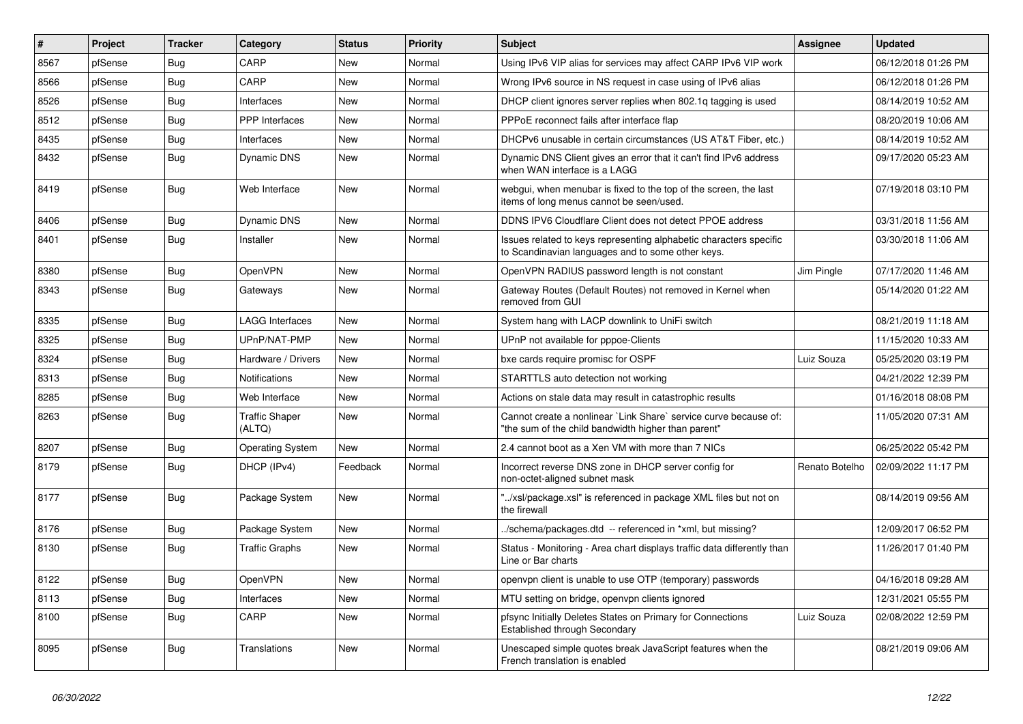| #    | Project | <b>Tracker</b> | Category                        | <b>Status</b> | <b>Priority</b> | <b>Subject</b>                                                                                                          | Assignee       | <b>Updated</b>      |
|------|---------|----------------|---------------------------------|---------------|-----------------|-------------------------------------------------------------------------------------------------------------------------|----------------|---------------------|
| 8567 | pfSense | Bug            | CARP                            | New           | Normal          | Using IPv6 VIP alias for services may affect CARP IPv6 VIP work                                                         |                | 06/12/2018 01:26 PM |
| 8566 | pfSense | Bug            | CARP                            | New           | Normal          | Wrong IPv6 source in NS request in case using of IPv6 alias                                                             |                | 06/12/2018 01:26 PM |
| 8526 | pfSense | <b>Bug</b>     | Interfaces                      | New           | Normal          | DHCP client ignores server replies when 802.1q tagging is used                                                          |                | 08/14/2019 10:52 AM |
| 8512 | pfSense | <b>Bug</b>     | PPP Interfaces                  | <b>New</b>    | Normal          | PPPoE reconnect fails after interface flap                                                                              |                | 08/20/2019 10:06 AM |
| 8435 | pfSense | Bug            | Interfaces                      | <b>New</b>    | Normal          | DHCPv6 unusable in certain circumstances (US AT&T Fiber, etc.)                                                          |                | 08/14/2019 10:52 AM |
| 8432 | pfSense | <b>Bug</b>     | <b>Dynamic DNS</b>              | <b>New</b>    | Normal          | Dynamic DNS Client gives an error that it can't find IPv6 address<br>when WAN interface is a LAGG                       |                | 09/17/2020 05:23 AM |
| 8419 | pfSense | Bug            | Web Interface                   | New           | Normal          | webgui, when menubar is fixed to the top of the screen, the last<br>items of long menus cannot be seen/used.            |                | 07/19/2018 03:10 PM |
| 8406 | pfSense | Bug            | <b>Dynamic DNS</b>              | New           | Normal          | DDNS IPV6 Cloudflare Client does not detect PPOE address                                                                |                | 03/31/2018 11:56 AM |
| 8401 | pfSense | <b>Bug</b>     | Installer                       | New           | Normal          | Issues related to keys representing alphabetic characters specific<br>to Scandinavian languages and to some other keys. |                | 03/30/2018 11:06 AM |
| 8380 | pfSense | Bug            | <b>OpenVPN</b>                  | <b>New</b>    | Normal          | OpenVPN RADIUS password length is not constant                                                                          | Jim Pingle     | 07/17/2020 11:46 AM |
| 8343 | pfSense | Bug            | Gateways                        | New           | Normal          | Gateway Routes (Default Routes) not removed in Kernel when<br>removed from GUI                                          |                | 05/14/2020 01:22 AM |
| 8335 | pfSense | <b>Bug</b>     | <b>LAGG Interfaces</b>          | <b>New</b>    | Normal          | System hang with LACP downlink to UniFi switch                                                                          |                | 08/21/2019 11:18 AM |
| 8325 | pfSense | <b>Bug</b>     | UPnP/NAT-PMP                    | <b>New</b>    | Normal          | UPnP not available for pppoe-Clients                                                                                    |                | 11/15/2020 10:33 AM |
| 8324 | pfSense | <b>Bug</b>     | Hardware / Drivers              | <b>New</b>    | Normal          | bxe cards require promisc for OSPF                                                                                      | Luiz Souza     | 05/25/2020 03:19 PM |
| 8313 | pfSense | <b>Bug</b>     | <b>Notifications</b>            | <b>New</b>    | Normal          | STARTTLS auto detection not working                                                                                     |                | 04/21/2022 12:39 PM |
| 8285 | pfSense | Bug            | Web Interface                   | <b>New</b>    | Normal          | Actions on stale data may result in catastrophic results                                                                |                | 01/16/2018 08:08 PM |
| 8263 | pfSense | Bug            | <b>Traffic Shaper</b><br>(ALTQ) | New           | Normal          | Cannot create a nonlinear `Link Share` service curve because of:<br>"the sum of the child bandwidth higher than parent" |                | 11/05/2020 07:31 AM |
| 8207 | pfSense | Bug            | <b>Operating System</b>         | <b>New</b>    | Normal          | 2.4 cannot boot as a Xen VM with more than 7 NICs                                                                       |                | 06/25/2022 05:42 PM |
| 8179 | pfSense | Bug            | DHCP (IPv4)                     | Feedback      | Normal          | Incorrect reverse DNS zone in DHCP server config for<br>non-octet-aligned subnet mask                                   | Renato Botelho | 02/09/2022 11:17 PM |
| 8177 | pfSense | Bug            | Package System                  | <b>New</b>    | Normal          | "/xsl/package.xsl" is referenced in package XML files but not on<br>the firewall                                        |                | 08/14/2019 09:56 AM |
| 8176 | pfSense | <b>Bug</b>     | Package System                  | <b>New</b>    | Normal          | ./schema/packages.dtd -- referenced in *xml, but missing?                                                               |                | 12/09/2017 06:52 PM |
| 8130 | pfSense | <b>Bug</b>     | <b>Traffic Graphs</b>           | <b>New</b>    | Normal          | Status - Monitoring - Area chart displays traffic data differently than<br>Line or Bar charts                           |                | 11/26/2017 01:40 PM |
| 8122 | pfSense | <b>Bug</b>     | <b>OpenVPN</b>                  | New           | Normal          | openypn client is unable to use OTP (temporary) passwords                                                               |                | 04/16/2018 09:28 AM |
| 8113 | pfSense | <b>Bug</b>     | Interfaces                      | New           | Normal          | MTU setting on bridge, openvpn clients ignored                                                                          |                | 12/31/2021 05:55 PM |
| 8100 | pfSense | Bug            | CARP                            | New           | Normal          | pfsync Initially Deletes States on Primary for Connections<br>Established through Secondary                             | Luiz Souza     | 02/08/2022 12:59 PM |
| 8095 | pfSense | Bug            | <b>Translations</b>             | <b>New</b>    | Normal          | Unescaped simple quotes break JavaScript features when the<br>French translation is enabled                             |                | 08/21/2019 09:06 AM |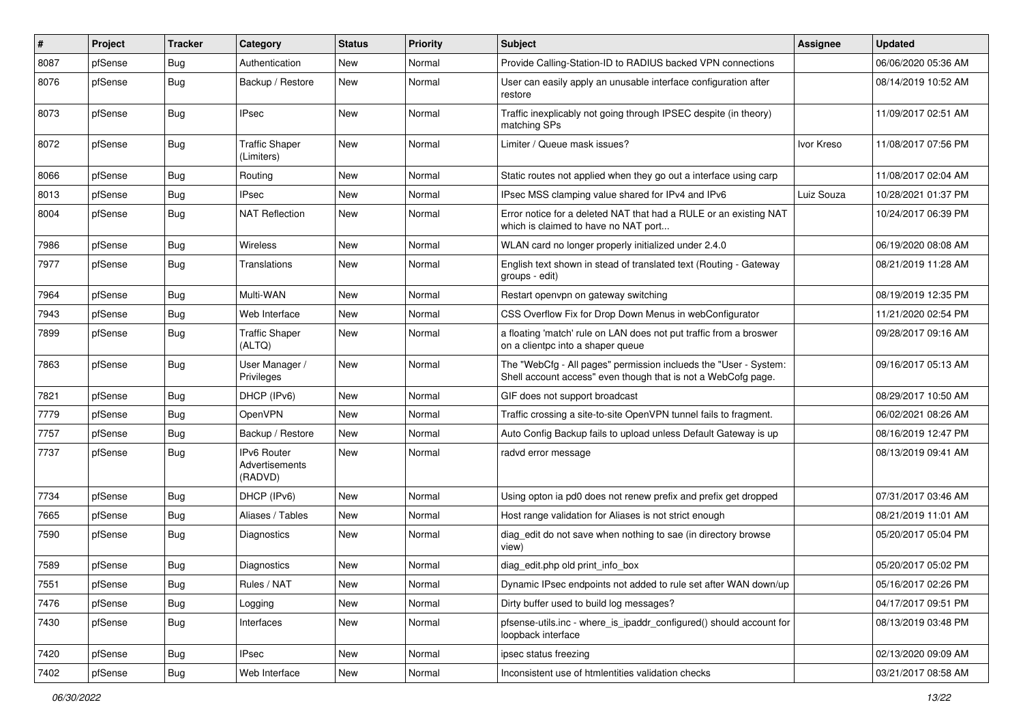| $\vert$ # | Project | <b>Tracker</b> | Category                                        | <b>Status</b> | Priority | Subject                                                                                                                           | Assignee   | <b>Updated</b>      |
|-----------|---------|----------------|-------------------------------------------------|---------------|----------|-----------------------------------------------------------------------------------------------------------------------------------|------------|---------------------|
| 8087      | pfSense | <b>Bug</b>     | Authentication                                  | New           | Normal   | Provide Calling-Station-ID to RADIUS backed VPN connections                                                                       |            | 06/06/2020 05:36 AM |
| 8076      | pfSense | Bug            | Backup / Restore                                | New           | Normal   | User can easily apply an unusable interface configuration after<br>restore                                                        |            | 08/14/2019 10:52 AM |
| 8073      | pfSense | Bug            | <b>IPsec</b>                                    | <b>New</b>    | Normal   | Traffic inexplicably not going through IPSEC despite (in theory)<br>matching SPs                                                  |            | 11/09/2017 02:51 AM |
| 8072      | pfSense | <b>Bug</b>     | <b>Traffic Shaper</b><br>(Limiters)             | New           | Normal   | Limiter / Queue mask issues?                                                                                                      | Ivor Kreso | 11/08/2017 07:56 PM |
| 8066      | pfSense | Bug            | Routing                                         | <b>New</b>    | Normal   | Static routes not applied when they go out a interface using carp                                                                 |            | 11/08/2017 02:04 AM |
| 8013      | pfSense | <b>Bug</b>     | <b>IPsec</b>                                    | New           | Normal   | IPsec MSS clamping value shared for IPv4 and IPv6                                                                                 | Luiz Souza | 10/28/2021 01:37 PM |
| 8004      | pfSense | Bug            | <b>NAT Reflection</b>                           | New           | Normal   | Error notice for a deleted NAT that had a RULE or an existing NAT<br>which is claimed to have no NAT port                         |            | 10/24/2017 06:39 PM |
| 7986      | pfSense | Bug            | Wireless                                        | <b>New</b>    | Normal   | WLAN card no longer properly initialized under 2.4.0                                                                              |            | 06/19/2020 08:08 AM |
| 7977      | pfSense | <b>Bug</b>     | Translations                                    | New           | Normal   | English text shown in stead of translated text (Routing - Gateway<br>groups - edit)                                               |            | 08/21/2019 11:28 AM |
| 7964      | pfSense | Bug            | Multi-WAN                                       | New           | Normal   | Restart openvpn on gateway switching                                                                                              |            | 08/19/2019 12:35 PM |
| 7943      | pfSense | Bug            | Web Interface                                   | <b>New</b>    | Normal   | CSS Overflow Fix for Drop Down Menus in webConfigurator                                                                           |            | 11/21/2020 02:54 PM |
| 7899      | pfSense | Bug            | <b>Traffic Shaper</b><br>(ALTQ)                 | New           | Normal   | a floating 'match' rule on LAN does not put traffic from a broswer<br>on a clientpc into a shaper queue                           |            | 09/28/2017 09:16 AM |
| 7863      | pfSense | <b>Bug</b>     | User Manager /<br>Privileges                    | <b>New</b>    | Normal   | The "WebCfg - All pages" permission inclueds the "User - System:<br>Shell account access" even though that is not a WebCofg page. |            | 09/16/2017 05:13 AM |
| 7821      | pfSense | Bug            | DHCP (IPv6)                                     | New           | Normal   | GIF does not support broadcast                                                                                                    |            | 08/29/2017 10:50 AM |
| 7779      | pfSense | <b>Bug</b>     | OpenVPN                                         | New           | Normal   | Traffic crossing a site-to-site OpenVPN tunnel fails to fragment.                                                                 |            | 06/02/2021 08:26 AM |
| 7757      | pfSense | Bug            | Backup / Restore                                | <b>New</b>    | Normal   | Auto Config Backup fails to upload unless Default Gateway is up                                                                   |            | 08/16/2019 12:47 PM |
| 7737      | pfSense | Bug            | <b>IPv6 Router</b><br>Advertisements<br>(RADVD) | <b>New</b>    | Normal   | radvd error message                                                                                                               |            | 08/13/2019 09:41 AM |
| 7734      | pfSense | Bug            | DHCP (IPv6)                                     | <b>New</b>    | Normal   | Using opton ia pd0 does not renew prefix and prefix get dropped                                                                   |            | 07/31/2017 03:46 AM |
| 7665      | pfSense | <b>Bug</b>     | Aliases / Tables                                | New           | Normal   | Host range validation for Aliases is not strict enough                                                                            |            | 08/21/2019 11:01 AM |
| 7590      | pfSense | Bug            | <b>Diagnostics</b>                              | New           | Normal   | diag edit do not save when nothing to sae (in directory browse<br>view)                                                           |            | 05/20/2017 05:04 PM |
| 7589      | pfSense | Bug            | <b>Diagnostics</b>                              | <b>New</b>    | Normal   | diag_edit.php old print_info_box                                                                                                  |            | 05/20/2017 05:02 PM |
| 7551      | pfSense | <b>Bug</b>     | Rules / NAT                                     | New           | Normal   | Dynamic IPsec endpoints not added to rule set after WAN down/up                                                                   |            | 05/16/2017 02:26 PM |
| 7476      | pfSense | <b>Bug</b>     | Logging                                         | New           | Normal   | Dirty buffer used to build log messages?                                                                                          |            | 04/17/2017 09:51 PM |
| 7430      | pfSense | <b>Bug</b>     | Interfaces                                      | New           | Normal   | pfsense-utils.inc - where is ipaddr configured() should account for<br>loopback interface                                         |            | 08/13/2019 03:48 PM |
| 7420      | pfSense | Bug            | <b>IPsec</b>                                    | New           | Normal   | ipsec status freezing                                                                                                             |            | 02/13/2020 09:09 AM |
| 7402      | pfSense | <b>Bug</b>     | Web Interface                                   | New           | Normal   | Inconsistent use of htmlentities validation checks                                                                                |            | 03/21/2017 08:58 AM |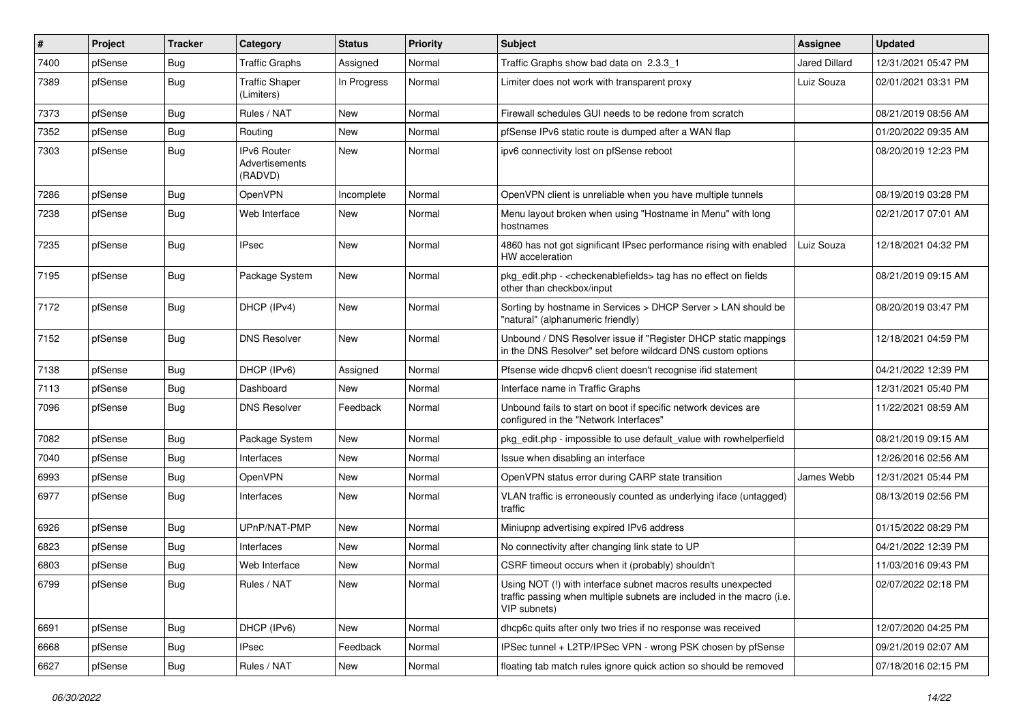| #    | Project | <b>Tracker</b> | Category                                        | <b>Status</b> | <b>Priority</b> | Subject                                                                                                                                                | <b>Assignee</b>      | <b>Updated</b>      |
|------|---------|----------------|-------------------------------------------------|---------------|-----------------|--------------------------------------------------------------------------------------------------------------------------------------------------------|----------------------|---------------------|
| 7400 | pfSense | <b>Bug</b>     | <b>Traffic Graphs</b>                           | Assigned      | Normal          | Traffic Graphs show bad data on 2.3.3 1                                                                                                                | <b>Jared Dillard</b> | 12/31/2021 05:47 PM |
| 7389 | pfSense | Bug            | <b>Traffic Shaper</b><br>(Limiters)             | In Progress   | Normal          | Limiter does not work with transparent proxy                                                                                                           | Luiz Souza           | 02/01/2021 03:31 PM |
| 7373 | pfSense | Bug            | Rules / NAT                                     | <b>New</b>    | Normal          | Firewall schedules GUI needs to be redone from scratch                                                                                                 |                      | 08/21/2019 08:56 AM |
| 7352 | pfSense | Bug            | Routing                                         | New           | Normal          | pfSense IPv6 static route is dumped after a WAN flap                                                                                                   |                      | 01/20/2022 09:35 AM |
| 7303 | pfSense | <b>Bug</b>     | <b>IPv6 Router</b><br>Advertisements<br>(RADVD) | <b>New</b>    | Normal          | ipv6 connectivity lost on pfSense reboot                                                                                                               |                      | 08/20/2019 12:23 PM |
| 7286 | pfSense | <b>Bug</b>     | OpenVPN                                         | Incomplete    | Normal          | OpenVPN client is unreliable when you have multiple tunnels                                                                                            |                      | 08/19/2019 03:28 PM |
| 7238 | pfSense | <b>Bug</b>     | Web Interface                                   | New           | Normal          | Menu layout broken when using "Hostname in Menu" with long<br>hostnames                                                                                |                      | 02/21/2017 07:01 AM |
| 7235 | pfSense | Bug            | <b>IPsec</b>                                    | <b>New</b>    | Normal          | 4860 has not got significant IPsec performance rising with enabled<br>HW acceleration                                                                  | Luiz Souza           | 12/18/2021 04:32 PM |
| 7195 | pfSense | <b>Bug</b>     | Package System                                  | New           | Normal          | pkg_edit.php - <checkenablefields> tag has no effect on fields<br/>other than checkbox/input</checkenablefields>                                       |                      | 08/21/2019 09:15 AM |
| 7172 | pfSense | <b>Bug</b>     | DHCP (IPv4)                                     | New           | Normal          | Sorting by hostname in Services > DHCP Server > LAN should be<br>"natural" (alphanumeric friendly)                                                     |                      | 08/20/2019 03:47 PM |
| 7152 | pfSense | Bug            | <b>DNS Resolver</b>                             | New           | Normal          | Unbound / DNS Resolver issue if "Register DHCP static mappings<br>in the DNS Resolver" set before wildcard DNS custom options                          |                      | 12/18/2021 04:59 PM |
| 7138 | pfSense | <b>Bug</b>     | DHCP (IPv6)                                     | Assigned      | Normal          | Pfsense wide dhcpv6 client doesn't recognise ifid statement                                                                                            |                      | 04/21/2022 12:39 PM |
| 7113 | pfSense | Bug            | Dashboard                                       | <b>New</b>    | Normal          | Interface name in Traffic Graphs                                                                                                                       |                      | 12/31/2021 05:40 PM |
| 7096 | pfSense | <b>Bug</b>     | <b>DNS Resolver</b>                             | Feedback      | Normal          | Unbound fails to start on boot if specific network devices are<br>configured in the "Network Interfaces"                                               |                      | 11/22/2021 08:59 AM |
| 7082 | pfSense | <b>Bug</b>     | Package System                                  | <b>New</b>    | Normal          | pkg edit.php - impossible to use default value with rowhelperfield                                                                                     |                      | 08/21/2019 09:15 AM |
| 7040 | pfSense | Bug            | Interfaces                                      | New           | Normal          | Issue when disabling an interface                                                                                                                      |                      | 12/26/2016 02:56 AM |
| 6993 | pfSense | <b>Bug</b>     | OpenVPN                                         | New           | Normal          | OpenVPN status error during CARP state transition                                                                                                      | James Webb           | 12/31/2021 05:44 PM |
| 6977 | pfSense | <b>Bug</b>     | Interfaces                                      | <b>New</b>    | Normal          | VLAN traffic is erroneously counted as underlying iface (untagged)<br>traffic                                                                          |                      | 08/13/2019 02:56 PM |
| 6926 | pfSense | Bug            | UPnP/NAT-PMP                                    | New           | Normal          | Miniupnp advertising expired IPv6 address                                                                                                              |                      | 01/15/2022 08:29 PM |
| 6823 | pfSense | Bug            | Interfaces                                      | New           | Normal          | No connectivity after changing link state to UP                                                                                                        |                      | 04/21/2022 12:39 PM |
| 6803 | pfSense | Bug            | Web Interface                                   | New           | Normal          | CSRF timeout occurs when it (probably) shouldn't                                                                                                       |                      | 11/03/2016 09:43 PM |
| 6799 | pfSense | <b>Bug</b>     | Rules / NAT                                     | New           | Normal          | Using NOT (!) with interface subnet macros results unexpected<br>traffic passing when multiple subnets are included in the macro (i.e.<br>VIP subnets) |                      | 02/07/2022 02:18 PM |
| 6691 | pfSense | <b>Bug</b>     | DHCP (IPv6)                                     | <b>New</b>    | Normal          | dhcp6c quits after only two tries if no response was received                                                                                          |                      | 12/07/2020 04:25 PM |
| 6668 | pfSense | <b>Bug</b>     | <b>IPsec</b>                                    | Feedback      | Normal          | IPSec tunnel + L2TP/IPSec VPN - wrong PSK chosen by pfSense                                                                                            |                      | 09/21/2019 02:07 AM |
| 6627 | pfSense | <b>Bug</b>     | Rules / NAT                                     | New           | Normal          | floating tab match rules ignore quick action so should be removed                                                                                      |                      | 07/18/2016 02:15 PM |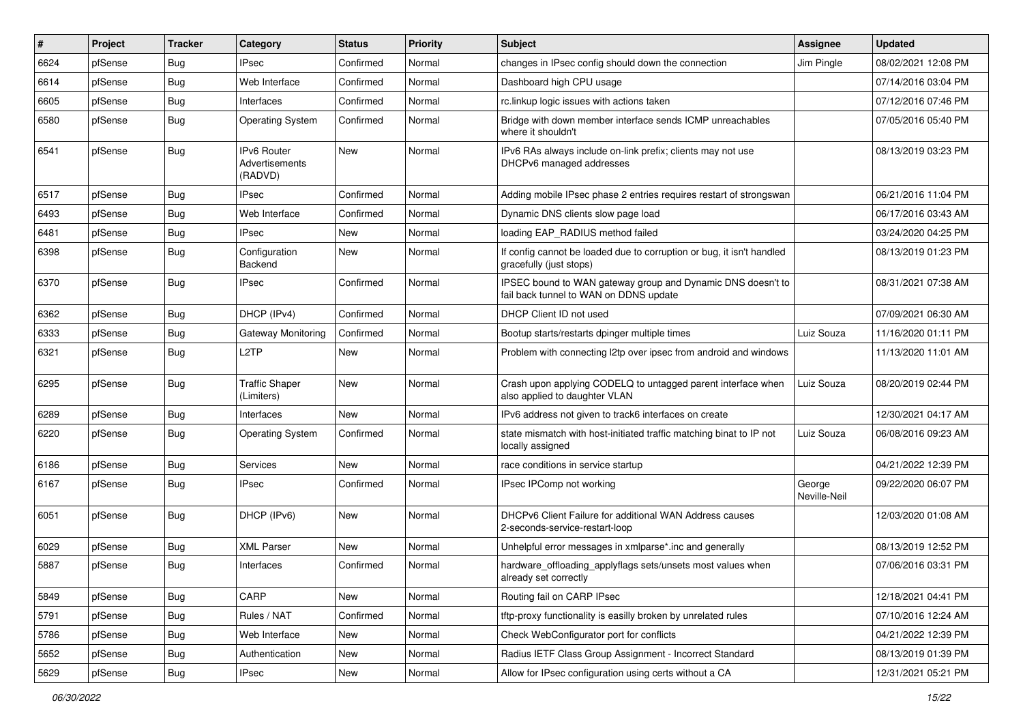| #    | Project | <b>Tracker</b> | Category                                        | <b>Status</b> | Priority | Subject                                                                                               | <b>Assignee</b>        | <b>Updated</b>      |
|------|---------|----------------|-------------------------------------------------|---------------|----------|-------------------------------------------------------------------------------------------------------|------------------------|---------------------|
| 6624 | pfSense | <b>Bug</b>     | <b>IPsec</b>                                    | Confirmed     | Normal   | changes in IPsec config should down the connection                                                    | Jim Pingle             | 08/02/2021 12:08 PM |
| 6614 | pfSense | Bug            | Web Interface                                   | Confirmed     | Normal   | Dashboard high CPU usage                                                                              |                        | 07/14/2016 03:04 PM |
| 6605 | pfSense | <b>Bug</b>     | Interfaces                                      | Confirmed     | Normal   | rc.linkup logic issues with actions taken                                                             |                        | 07/12/2016 07:46 PM |
| 6580 | pfSense | <b>Bug</b>     | <b>Operating System</b>                         | Confirmed     | Normal   | Bridge with down member interface sends ICMP unreachables<br>where it shouldn't                       |                        | 07/05/2016 05:40 PM |
| 6541 | pfSense | Bug            | <b>IPv6 Router</b><br>Advertisements<br>(RADVD) | <b>New</b>    | Normal   | IPv6 RAs always include on-link prefix; clients may not use<br>DHCPv6 managed addresses               |                        | 08/13/2019 03:23 PM |
| 6517 | pfSense | Bug            | <b>IPsec</b>                                    | Confirmed     | Normal   | Adding mobile IPsec phase 2 entries requires restart of strongswan                                    |                        | 06/21/2016 11:04 PM |
| 6493 | pfSense | Bug            | Web Interface                                   | Confirmed     | Normal   | Dynamic DNS clients slow page load                                                                    |                        | 06/17/2016 03:43 AM |
| 6481 | pfSense | <b>Bug</b>     | <b>IPsec</b>                                    | New           | Normal   | loading EAP RADIUS method failed                                                                      |                        | 03/24/2020 04:25 PM |
| 6398 | pfSense | <b>Bug</b>     | Configuration<br>Backend                        | New           | Normal   | If config cannot be loaded due to corruption or bug, it isn't handled<br>gracefully (just stops)      |                        | 08/13/2019 01:23 PM |
| 6370 | pfSense | <b>Bug</b>     | <b>IPsec</b>                                    | Confirmed     | Normal   | IPSEC bound to WAN gateway group and Dynamic DNS doesn't to<br>fail back tunnel to WAN on DDNS update |                        | 08/31/2021 07:38 AM |
| 6362 | pfSense | Bug            | DHCP (IPv4)                                     | Confirmed     | Normal   | DHCP Client ID not used                                                                               |                        | 07/09/2021 06:30 AM |
| 6333 | pfSense | <b>Bug</b>     | Gateway Monitoring                              | Confirmed     | Normal   | Bootup starts/restarts dpinger multiple times                                                         | Luiz Souza             | 11/16/2020 01:11 PM |
| 6321 | pfSense | <b>Bug</b>     | L <sub>2</sub> TP                               | New           | Normal   | Problem with connecting I2tp over ipsec from android and windows                                      |                        | 11/13/2020 11:01 AM |
| 6295 | pfSense | <b>Bug</b>     | <b>Traffic Shaper</b><br>(Limiters)             | New           | Normal   | Crash upon applying CODELQ to untagged parent interface when<br>also applied to daughter VLAN         | Luiz Souza             | 08/20/2019 02:44 PM |
| 6289 | pfSense | Bug            | Interfaces                                      | New           | Normal   | IPv6 address not given to track6 interfaces on create                                                 |                        | 12/30/2021 04:17 AM |
| 6220 | pfSense | <b>Bug</b>     | <b>Operating System</b>                         | Confirmed     | Normal   | state mismatch with host-initiated traffic matching binat to IP not<br>locally assigned               | Luiz Souza             | 06/08/2016 09:23 AM |
| 6186 | pfSense | <b>Bug</b>     | Services                                        | New           | Normal   | race conditions in service startup                                                                    |                        | 04/21/2022 12:39 PM |
| 6167 | pfSense | <b>Bug</b>     | <b>IPsec</b>                                    | Confirmed     | Normal   | IPsec IPComp not working                                                                              | George<br>Neville-Neil | 09/22/2020 06:07 PM |
| 6051 | pfSense | Bug            | DHCP (IPv6)                                     | New           | Normal   | DHCPv6 Client Failure for additional WAN Address causes<br>2-seconds-service-restart-loop             |                        | 12/03/2020 01:08 AM |
| 6029 | pfSense | Bug            | <b>XML Parser</b>                               | <b>New</b>    | Normal   | Unhelpful error messages in xmlparse*.inc and generally                                               |                        | 08/13/2019 12:52 PM |
| 5887 | pfSense | Bug            | Interfaces                                      | Confirmed     | Normal   | hardware_offloading_applyflags sets/unsets most values when<br>already set correctly                  |                        | 07/06/2016 03:31 PM |
| 5849 | pfSense | Bug            | CARP                                            | New           | Normal   | Routing fail on CARP IPsec                                                                            |                        | 12/18/2021 04:41 PM |
| 5791 | pfSense | <b>Bug</b>     | Rules / NAT                                     | Confirmed     | Normal   | tftp-proxy functionality is easilly broken by unrelated rules                                         |                        | 07/10/2016 12:24 AM |
| 5786 | pfSense | Bug            | Web Interface                                   | New           | Normal   | Check WebConfigurator port for conflicts                                                              |                        | 04/21/2022 12:39 PM |
| 5652 | pfSense | <b>Bug</b>     | Authentication                                  | New           | Normal   | Radius IETF Class Group Assignment - Incorrect Standard                                               |                        | 08/13/2019 01:39 PM |
| 5629 | pfSense | <b>Bug</b>     | IPsec                                           | New           | Normal   | Allow for IPsec configuration using certs without a CA                                                |                        | 12/31/2021 05:21 PM |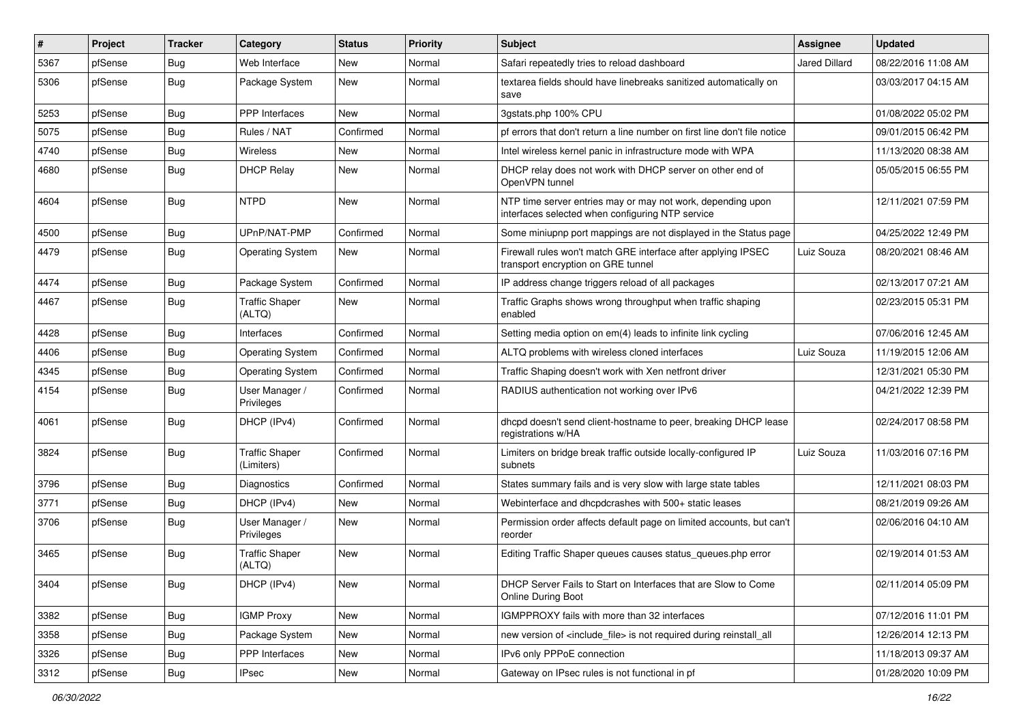| $\vert$ # | Project | <b>Tracker</b> | Category                            | <b>Status</b> | Priority | <b>Subject</b>                                                                                                  | Assignee      | <b>Updated</b>      |
|-----------|---------|----------------|-------------------------------------|---------------|----------|-----------------------------------------------------------------------------------------------------------------|---------------|---------------------|
| 5367      | pfSense | <b>Bug</b>     | Web Interface                       | New           | Normal   | Safari repeatedly tries to reload dashboard                                                                     | Jared Dillard | 08/22/2016 11:08 AM |
| 5306      | pfSense | Bug            | Package System                      | New           | Normal   | textarea fields should have linebreaks sanitized automatically on<br>save                                       |               | 03/03/2017 04:15 AM |
| 5253      | pfSense | Bug            | <b>PPP</b> Interfaces               | New           | Normal   | 3qstats.php 100% CPU                                                                                            |               | 01/08/2022 05:02 PM |
| 5075      | pfSense | Bug            | Rules / NAT                         | Confirmed     | Normal   | pf errors that don't return a line number on first line don't file notice                                       |               | 09/01/2015 06:42 PM |
| 4740      | pfSense | Bug            | Wireless                            | New           | Normal   | Intel wireless kernel panic in infrastructure mode with WPA                                                     |               | 11/13/2020 08:38 AM |
| 4680      | pfSense | Bug            | <b>DHCP Relay</b>                   | New           | Normal   | DHCP relay does not work with DHCP server on other end of<br>OpenVPN tunnel                                     |               | 05/05/2015 06:55 PM |
| 4604      | pfSense | Bug            | <b>NTPD</b>                         | <b>New</b>    | Normal   | NTP time server entries may or may not work, depending upon<br>interfaces selected when configuring NTP service |               | 12/11/2021 07:59 PM |
| 4500      | pfSense | Bug            | UPnP/NAT-PMP                        | Confirmed     | Normal   | Some miniupnp port mappings are not displayed in the Status page                                                |               | 04/25/2022 12:49 PM |
| 4479      | pfSense | <b>Bug</b>     | <b>Operating System</b>             | New           | Normal   | Firewall rules won't match GRE interface after applying IPSEC<br>transport encryption on GRE tunnel             | Luiz Souza    | 08/20/2021 08:46 AM |
| 4474      | pfSense | <b>Bug</b>     | Package System                      | Confirmed     | Normal   | IP address change triggers reload of all packages                                                               |               | 02/13/2017 07:21 AM |
| 4467      | pfSense | Bug            | <b>Traffic Shaper</b><br>(ALTQ)     | New           | Normal   | Traffic Graphs shows wrong throughput when traffic shaping<br>enabled                                           |               | 02/23/2015 05:31 PM |
| 4428      | pfSense | Bug            | Interfaces                          | Confirmed     | Normal   | Setting media option on em(4) leads to infinite link cycling                                                    |               | 07/06/2016 12:45 AM |
| 4406      | pfSense | Bug            | <b>Operating System</b>             | Confirmed     | Normal   | ALTQ problems with wireless cloned interfaces                                                                   | Luiz Souza    | 11/19/2015 12:06 AM |
| 4345      | pfSense | <b>Bug</b>     | <b>Operating System</b>             | Confirmed     | Normal   | Traffic Shaping doesn't work with Xen netfront driver                                                           |               | 12/31/2021 05:30 PM |
| 4154      | pfSense | Bug            | User Manager /<br>Privileges        | Confirmed     | Normal   | RADIUS authentication not working over IPv6                                                                     |               | 04/21/2022 12:39 PM |
| 4061      | pfSense | <b>Bug</b>     | DHCP (IPv4)                         | Confirmed     | Normal   | dhcpd doesn't send client-hostname to peer, breaking DHCP lease<br>registrations w/HA                           |               | 02/24/2017 08:58 PM |
| 3824      | pfSense | <b>Bug</b>     | <b>Traffic Shaper</b><br>(Limiters) | Confirmed     | Normal   | Limiters on bridge break traffic outside locally-configured IP<br>subnets                                       | Luiz Souza    | 11/03/2016 07:16 PM |
| 3796      | pfSense | <b>Bug</b>     | Diagnostics                         | Confirmed     | Normal   | States summary fails and is very slow with large state tables                                                   |               | 12/11/2021 08:03 PM |
| 3771      | pfSense | Bug            | DHCP (IPv4)                         | <b>New</b>    | Normal   | Webinterface and dhcpdcrashes with 500+ static leases                                                           |               | 08/21/2019 09:26 AM |
| 3706      | pfSense | Bug            | User Manager /<br>Privileges        | New           | Normal   | Permission order affects default page on limited accounts, but can't<br>reorder                                 |               | 02/06/2016 04:10 AM |
| 3465      | pfSense | Bug            | <b>Traffic Shaper</b><br>(ALTQ)     | <b>New</b>    | Normal   | Editing Traffic Shaper queues causes status_queues.php error                                                    |               | 02/19/2014 01:53 AM |
| 3404      | pfSense | <b>Bug</b>     | DHCP (IPv4)                         | New           | Normal   | DHCP Server Fails to Start on Interfaces that are Slow to Come<br><b>Online During Boot</b>                     |               | 02/11/2014 05:09 PM |
| 3382      | pfSense | Bug            | <b>IGMP Proxy</b>                   | New           | Normal   | IGMPPROXY fails with more than 32 interfaces                                                                    |               | 07/12/2016 11:01 PM |
| 3358      | pfSense | Bug            | Package System                      | New           | Normal   | new version of <include file=""> is not required during reinstall all</include>                                 |               | 12/26/2014 12:13 PM |
| 3326      | pfSense | <b>Bug</b>     | PPP Interfaces                      | New           | Normal   | IPv6 only PPPoE connection                                                                                      |               | 11/18/2013 09:37 AM |
| 3312      | pfSense | Bug            | IPsec                               | New           | Normal   | Gateway on IPsec rules is not functional in pf                                                                  |               | 01/28/2020 10:09 PM |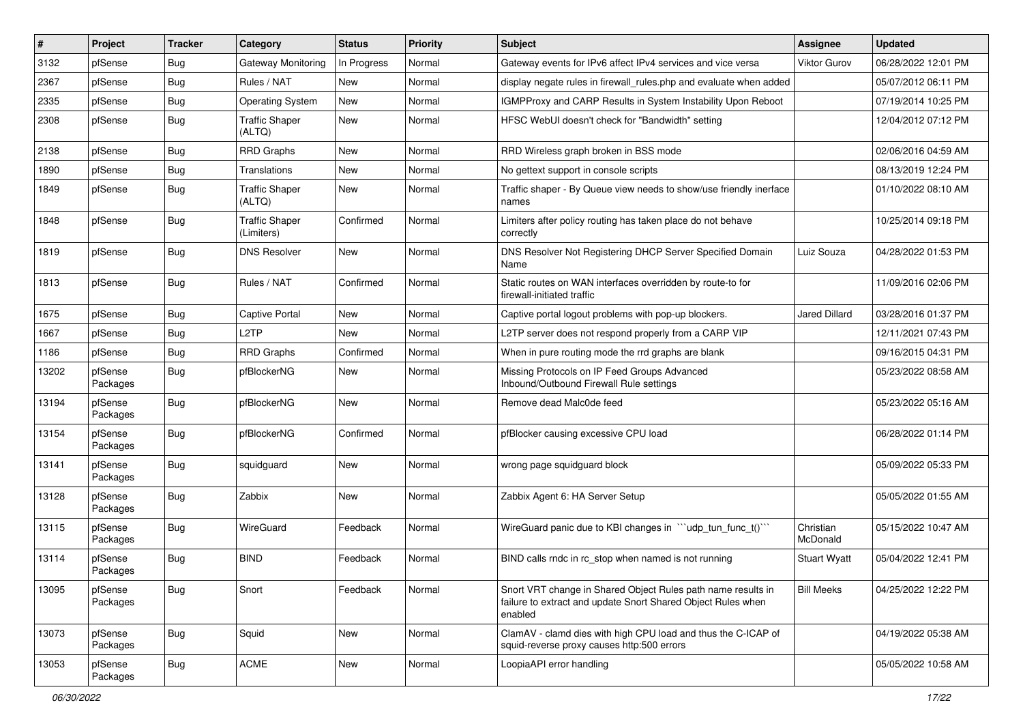| $\pmb{\sharp}$ | Project             | <b>Tracker</b> | Category                            | <b>Status</b> | Priority | Subject                                                                                                                                 | Assignee              | <b>Updated</b>      |
|----------------|---------------------|----------------|-------------------------------------|---------------|----------|-----------------------------------------------------------------------------------------------------------------------------------------|-----------------------|---------------------|
| 3132           | pfSense             | <b>Bug</b>     | Gateway Monitoring                  | In Progress   | Normal   | Gateway events for IPv6 affect IPv4 services and vice versa                                                                             | <b>Viktor Gurov</b>   | 06/28/2022 12:01 PM |
| 2367           | pfSense             | <b>Bug</b>     | Rules / NAT                         | New           | Normal   | display negate rules in firewall rules php and evaluate when added                                                                      |                       | 05/07/2012 06:11 PM |
| 2335           | pfSense             | <b>Bug</b>     | <b>Operating System</b>             | New           | Normal   | IGMPProxy and CARP Results in System Instability Upon Reboot                                                                            |                       | 07/19/2014 10:25 PM |
| 2308           | pfSense             | <b>Bug</b>     | <b>Traffic Shaper</b><br>(ALTQ)     | New           | Normal   | HFSC WebUI doesn't check for "Bandwidth" setting                                                                                        |                       | 12/04/2012 07:12 PM |
| 2138           | pfSense             | <b>Bug</b>     | <b>RRD Graphs</b>                   | New           | Normal   | RRD Wireless graph broken in BSS mode                                                                                                   |                       | 02/06/2016 04:59 AM |
| 1890           | pfSense             | <b>Bug</b>     | Translations                        | New           | Normal   | No gettext support in console scripts                                                                                                   |                       | 08/13/2019 12:24 PM |
| 1849           | pfSense             | <b>Bug</b>     | <b>Traffic Shaper</b><br>(ALTQ)     | New           | Normal   | Traffic shaper - By Queue view needs to show/use friendly inerface<br>names                                                             |                       | 01/10/2022 08:10 AM |
| 1848           | pfSense             | <b>Bug</b>     | <b>Traffic Shaper</b><br>(Limiters) | Confirmed     | Normal   | Limiters after policy routing has taken place do not behave<br>correctly                                                                |                       | 10/25/2014 09:18 PM |
| 1819           | pfSense             | <b>Bug</b>     | <b>DNS Resolver</b>                 | New           | Normal   | DNS Resolver Not Registering DHCP Server Specified Domain<br>Name                                                                       | Luiz Souza            | 04/28/2022 01:53 PM |
| 1813           | pfSense             | Bug            | Rules / NAT                         | Confirmed     | Normal   | Static routes on WAN interfaces overridden by route-to for<br>firewall-initiated traffic                                                |                       | 11/09/2016 02:06 PM |
| 1675           | pfSense             | Bug            | <b>Captive Portal</b>               | <b>New</b>    | Normal   | Captive portal logout problems with pop-up blockers.                                                                                    | <b>Jared Dillard</b>  | 03/28/2016 01:37 PM |
| 1667           | pfSense             | <b>Bug</b>     | L <sub>2</sub> TP                   | New           | Normal   | L2TP server does not respond properly from a CARP VIP                                                                                   |                       | 12/11/2021 07:43 PM |
| 1186           | pfSense             | Bug            | <b>RRD Graphs</b>                   | Confirmed     | Normal   | When in pure routing mode the rrd graphs are blank                                                                                      |                       | 09/16/2015 04:31 PM |
| 13202          | pfSense<br>Packages | <b>Bug</b>     | pfBlockerNG                         | New           | Normal   | Missing Protocols on IP Feed Groups Advanced<br>Inbound/Outbound Firewall Rule settings                                                 |                       | 05/23/2022 08:58 AM |
| 13194          | pfSense<br>Packages | Bug            | pfBlockerNG                         | New           | Normal   | Remove dead Malc0de feed                                                                                                                |                       | 05/23/2022 05:16 AM |
| 13154          | pfSense<br>Packages | Bug            | pfBlockerNG                         | Confirmed     | Normal   | pfBlocker causing excessive CPU load                                                                                                    |                       | 06/28/2022 01:14 PM |
| 13141          | pfSense<br>Packages | <b>Bug</b>     | squidguard                          | New           | Normal   | wrong page squidguard block                                                                                                             |                       | 05/09/2022 05:33 PM |
| 13128          | pfSense<br>Packages | Bug            | Zabbix                              | New           | Normal   | Zabbix Agent 6: HA Server Setup                                                                                                         |                       | 05/05/2022 01:55 AM |
| 13115          | pfSense<br>Packages | Bug            | WireGuard                           | Feedback      | Normal   | WireGuard panic due to KBI changes in "'udp_tun_func_t()'"                                                                              | Christian<br>McDonald | 05/15/2022 10:47 AM |
| 13114          | pfSense<br>Packages | <b>Bug</b>     | <b>BIND</b>                         | Feedback      | Normal   | BIND calls rndc in rc_stop when named is not running                                                                                    | <b>Stuart Wyatt</b>   | 05/04/2022 12:41 PM |
| 13095          | pfSense<br>Packages | <b>Bug</b>     | Snort                               | Feedback      | Normal   | Snort VRT change in Shared Object Rules path name results in<br>failure to extract and update Snort Shared Object Rules when<br>enabled | <b>Bill Meeks</b>     | 04/25/2022 12:22 PM |
| 13073          | pfSense<br>Packages | <b>Bug</b>     | Squid                               | New           | Normal   | ClamAV - clamd dies with high CPU load and thus the C-ICAP of<br>squid-reverse proxy causes http:500 errors                             |                       | 04/19/2022 05:38 AM |
| 13053          | pfSense<br>Packages | <b>Bug</b>     | <b>ACME</b>                         | New           | Normal   | LoopiaAPI error handling                                                                                                                |                       | 05/05/2022 10:58 AM |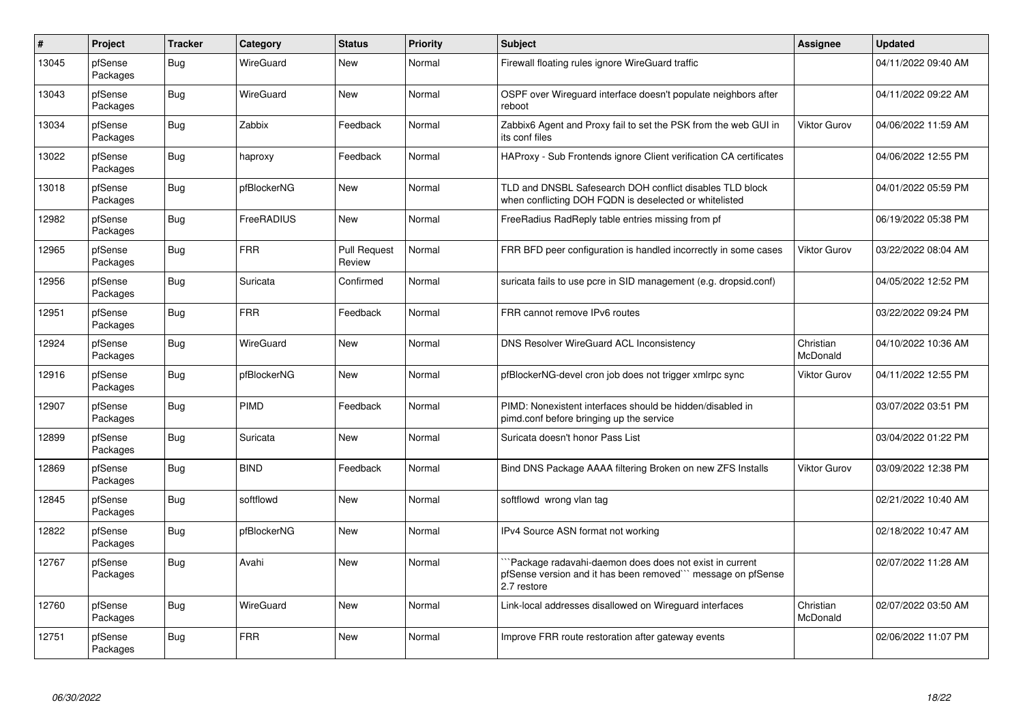| $\vert$ # | Project             | <b>Tracker</b> | Category    | <b>Status</b>                 | <b>Priority</b> | <b>Subject</b>                                                                                                                         | Assignee              | <b>Updated</b>      |
|-----------|---------------------|----------------|-------------|-------------------------------|-----------------|----------------------------------------------------------------------------------------------------------------------------------------|-----------------------|---------------------|
| 13045     | pfSense<br>Packages | Bug            | WireGuard   | New                           | Normal          | Firewall floating rules ignore WireGuard traffic                                                                                       |                       | 04/11/2022 09:40 AM |
| 13043     | pfSense<br>Packages | <b>Bug</b>     | WireGuard   | New                           | Normal          | OSPF over Wireguard interface doesn't populate neighbors after<br>reboot                                                               |                       | 04/11/2022 09:22 AM |
| 13034     | pfSense<br>Packages | Bug            | Zabbix      | Feedback                      | Normal          | Zabbix6 Agent and Proxy fail to set the PSK from the web GUI in<br>its conf files                                                      | Viktor Gurov          | 04/06/2022 11:59 AM |
| 13022     | pfSense<br>Packages | Bug            | haproxy     | Feedback                      | Normal          | HAProxy - Sub Frontends ignore Client verification CA certificates                                                                     |                       | 04/06/2022 12:55 PM |
| 13018     | pfSense<br>Packages | Bug            | pfBlockerNG | <b>New</b>                    | Normal          | TLD and DNSBL Safesearch DOH conflict disables TLD block<br>when conflicting DOH FQDN is deselected or whitelisted                     |                       | 04/01/2022 05:59 PM |
| 12982     | pfSense<br>Packages | Bug            | FreeRADIUS  | New                           | Normal          | FreeRadius RadReply table entries missing from pf                                                                                      |                       | 06/19/2022 05:38 PM |
| 12965     | pfSense<br>Packages | Bug            | <b>FRR</b>  | <b>Pull Request</b><br>Review | Normal          | FRR BFD peer configuration is handled incorrectly in some cases                                                                        | <b>Viktor Gurov</b>   | 03/22/2022 08:04 AM |
| 12956     | pfSense<br>Packages | <b>Bug</b>     | Suricata    | Confirmed                     | Normal          | suricata fails to use pcre in SID management (e.g. dropsid.conf)                                                                       |                       | 04/05/2022 12:52 PM |
| 12951     | pfSense<br>Packages | Bug            | <b>FRR</b>  | Feedback                      | Normal          | FRR cannot remove IPv6 routes                                                                                                          |                       | 03/22/2022 09:24 PM |
| 12924     | pfSense<br>Packages | <b>Bug</b>     | WireGuard   | New                           | Normal          | DNS Resolver WireGuard ACL Inconsistency                                                                                               | Christian<br>McDonald | 04/10/2022 10:36 AM |
| 12916     | pfSense<br>Packages | Bug            | pfBlockerNG | <b>New</b>                    | Normal          | pfBlockerNG-devel cron job does not trigger xmlrpc sync                                                                                | Viktor Gurov          | 04/11/2022 12:55 PM |
| 12907     | pfSense<br>Packages | Bug            | PIMD        | Feedback                      | Normal          | PIMD: Nonexistent interfaces should be hidden/disabled in<br>pimd.conf before bringing up the service                                  |                       | 03/07/2022 03:51 PM |
| 12899     | pfSense<br>Packages | Bug            | Suricata    | <b>New</b>                    | Normal          | Suricata doesn't honor Pass List                                                                                                       |                       | 03/04/2022 01:22 PM |
| 12869     | pfSense<br>Packages | Bug            | <b>BIND</b> | Feedback                      | Normal          | Bind DNS Package AAAA filtering Broken on new ZFS Installs                                                                             | Viktor Gurov          | 03/09/2022 12:38 PM |
| 12845     | pfSense<br>Packages | Bug            | softflowd   | New                           | Normal          | softflowd wrong vlan tag                                                                                                               |                       | 02/21/2022 10:40 AM |
| 12822     | pfSense<br>Packages | Bug            | pfBlockerNG | <b>New</b>                    | Normal          | IPv4 Source ASN format not working                                                                                                     |                       | 02/18/2022 10:47 AM |
| 12767     | pfSense<br>Packages | Bug            | Avahi       | <b>New</b>                    | Normal          | Package radavahi-daemon does does not exist in current<br>pfSense version and it has been removed``` message on pfSense<br>2.7 restore |                       | 02/07/2022 11:28 AM |
| 12760     | pfSense<br>Packages | Bug            | WireGuard   | <b>New</b>                    | Normal          | Link-local addresses disallowed on Wireguard interfaces                                                                                | Christian<br>McDonald | 02/07/2022 03:50 AM |
| 12751     | pfSense<br>Packages | Bug            | <b>FRR</b>  | New                           | Normal          | Improve FRR route restoration after gateway events                                                                                     |                       | 02/06/2022 11:07 PM |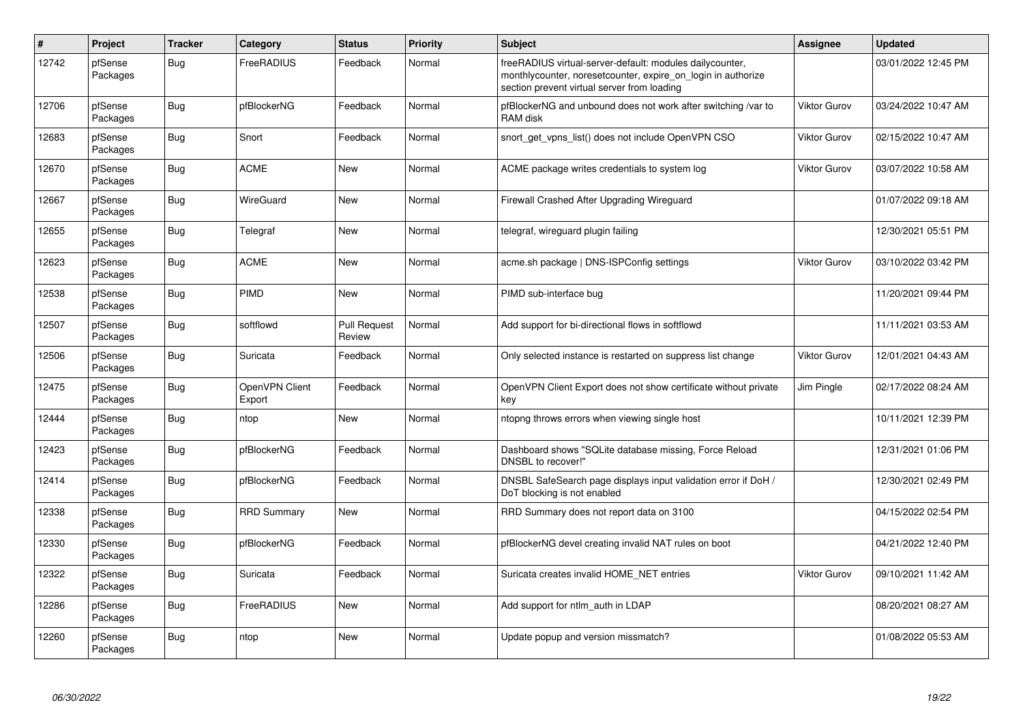| #     | <b>Project</b>      | <b>Tracker</b> | Category                 | <b>Status</b>                 | <b>Priority</b> | <b>Subject</b>                                                                                                                                                          | Assignee            | <b>Updated</b>      |
|-------|---------------------|----------------|--------------------------|-------------------------------|-----------------|-------------------------------------------------------------------------------------------------------------------------------------------------------------------------|---------------------|---------------------|
| 12742 | pfSense<br>Packages | Bug            | FreeRADIUS               | Feedback                      | Normal          | freeRADIUS virtual-server-default: modules dailycounter,<br>monthlycounter, noresetcounter, expire_on_login in authorize<br>section prevent virtual server from loading |                     | 03/01/2022 12:45 PM |
| 12706 | pfSense<br>Packages | <b>Bug</b>     | pfBlockerNG              | Feedback                      | Normal          | pfBlockerNG and unbound does not work after switching /var to<br>RAM disk                                                                                               | <b>Viktor Gurov</b> | 03/24/2022 10:47 AM |
| 12683 | pfSense<br>Packages | Bug            | Snort                    | Feedback                      | Normal          | snort get vpns list() does not include OpenVPN CSO                                                                                                                      | Viktor Gurov        | 02/15/2022 10:47 AM |
| 12670 | pfSense<br>Packages | <b>Bug</b>     | <b>ACME</b>              | New                           | Normal          | ACME package writes credentials to system log                                                                                                                           | <b>Viktor Gurov</b> | 03/07/2022 10:58 AM |
| 12667 | pfSense<br>Packages | Bug            | WireGuard                | <b>New</b>                    | Normal          | Firewall Crashed After Upgrading Wireguard                                                                                                                              |                     | 01/07/2022 09:18 AM |
| 12655 | pfSense<br>Packages | <b>Bug</b>     | Telegraf                 | New                           | Normal          | telegraf, wireguard plugin failing                                                                                                                                      |                     | 12/30/2021 05:51 PM |
| 12623 | pfSense<br>Packages | <b>Bug</b>     | <b>ACME</b>              | New                           | Normal          | acme.sh package   DNS-ISPConfig settings                                                                                                                                | <b>Viktor Gurov</b> | 03/10/2022 03:42 PM |
| 12538 | pfSense<br>Packages | <b>Bug</b>     | PIMD                     | <b>New</b>                    | Normal          | PIMD sub-interface bug                                                                                                                                                  |                     | 11/20/2021 09:44 PM |
| 12507 | pfSense<br>Packages | Bug            | softflowd                | <b>Pull Request</b><br>Review | Normal          | Add support for bi-directional flows in softflowd                                                                                                                       |                     | 11/11/2021 03:53 AM |
| 12506 | pfSense<br>Packages | Bug            | Suricata                 | Feedback                      | Normal          | Only selected instance is restarted on suppress list change                                                                                                             | <b>Viktor Gurov</b> | 12/01/2021 04:43 AM |
| 12475 | pfSense<br>Packages | <b>Bug</b>     | OpenVPN Client<br>Export | Feedback                      | Normal          | OpenVPN Client Export does not show certificate without private<br>key                                                                                                  | Jim Pingle          | 02/17/2022 08:24 AM |
| 12444 | pfSense<br>Packages | <b>Bug</b>     | ntop                     | <b>New</b>                    | Normal          | ntopng throws errors when viewing single host                                                                                                                           |                     | 10/11/2021 12:39 PM |
| 12423 | pfSense<br>Packages | <b>Bug</b>     | pfBlockerNG              | Feedback                      | Normal          | Dashboard shows "SQLite database missing, Force Reload<br>DNSBL to recover!"                                                                                            |                     | 12/31/2021 01:06 PM |
| 12414 | pfSense<br>Packages | Bug            | pfBlockerNG              | Feedback                      | Normal          | DNSBL SafeSearch page displays input validation error if DoH /<br>DoT blocking is not enabled                                                                           |                     | 12/30/2021 02:49 PM |
| 12338 | pfSense<br>Packages | <b>Bug</b>     | <b>RRD Summary</b>       | New                           | Normal          | RRD Summary does not report data on 3100                                                                                                                                |                     | 04/15/2022 02:54 PM |
| 12330 | pfSense<br>Packages | <b>Bug</b>     | pfBlockerNG              | Feedback                      | Normal          | pfBlockerNG devel creating invalid NAT rules on boot                                                                                                                    |                     | 04/21/2022 12:40 PM |
| 12322 | pfSense<br>Packages | Bug            | Suricata                 | Feedback                      | Normal          | Suricata creates invalid HOME NET entries                                                                                                                               | <b>Viktor Gurov</b> | 09/10/2021 11:42 AM |
| 12286 | pfSense<br>Packages | Bug            | FreeRADIUS               | New                           | Normal          | Add support for ntlm auth in LDAP                                                                                                                                       |                     | 08/20/2021 08:27 AM |
| 12260 | pfSense<br>Packages | <b>Bug</b>     | ntop                     | New                           | Normal          | Update popup and version missmatch?                                                                                                                                     |                     | 01/08/2022 05:53 AM |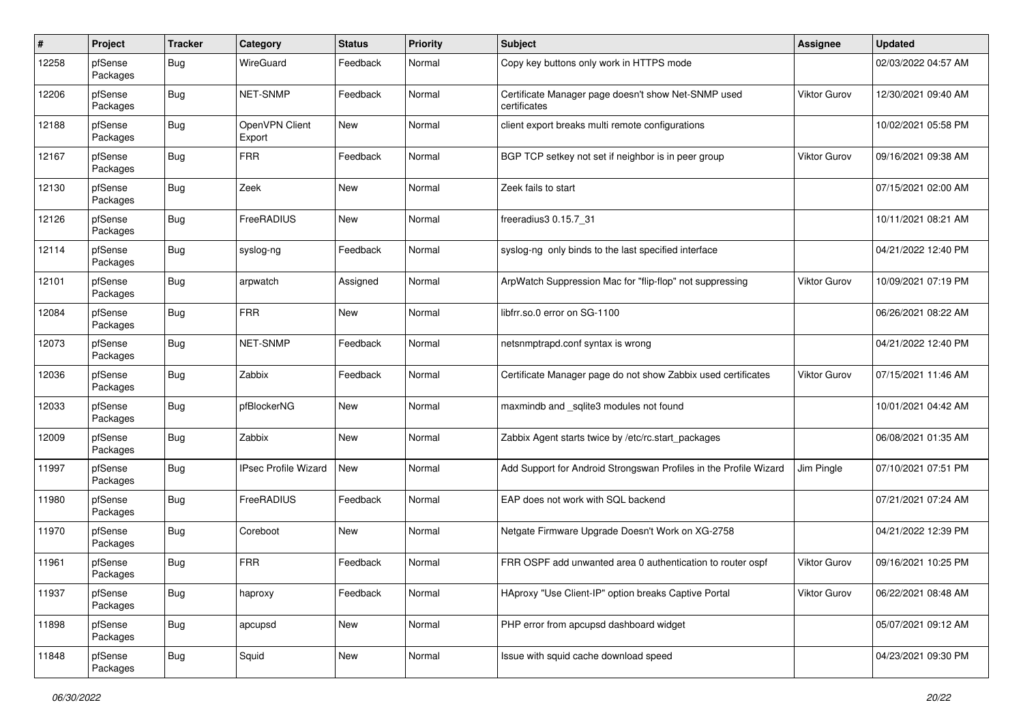| #     | Project             | <b>Tracker</b> | Category                    | <b>Status</b> | <b>Priority</b> | Subject                                                             | <b>Assignee</b>     | <b>Updated</b>      |
|-------|---------------------|----------------|-----------------------------|---------------|-----------------|---------------------------------------------------------------------|---------------------|---------------------|
| 12258 | pfSense<br>Packages | Bug            | WireGuard                   | Feedback      | Normal          | Copy key buttons only work in HTTPS mode                            |                     | 02/03/2022 04:57 AM |
| 12206 | pfSense<br>Packages | Bug            | NET-SNMP                    | Feedback      | Normal          | Certificate Manager page doesn't show Net-SNMP used<br>certificates | Viktor Gurov        | 12/30/2021 09:40 AM |
| 12188 | pfSense<br>Packages | <b>Bug</b>     | OpenVPN Client<br>Export    | <b>New</b>    | Normal          | client export breaks multi remote configurations                    |                     | 10/02/2021 05:58 PM |
| 12167 | pfSense<br>Packages | <b>Bug</b>     | <b>FRR</b>                  | Feedback      | Normal          | BGP TCP setkey not set if neighbor is in peer group                 | Viktor Gurov        | 09/16/2021 09:38 AM |
| 12130 | pfSense<br>Packages | <b>Bug</b>     | Zeek                        | New           | Normal          | Zeek fails to start                                                 |                     | 07/15/2021 02:00 AM |
| 12126 | pfSense<br>Packages | Bug            | FreeRADIUS                  | <b>New</b>    | Normal          | freeradius3 0.15.7 31                                               |                     | 10/11/2021 08:21 AM |
| 12114 | pfSense<br>Packages | Bug            | syslog-ng                   | Feedback      | Normal          | syslog-ng only binds to the last specified interface                |                     | 04/21/2022 12:40 PM |
| 12101 | pfSense<br>Packages | Bug            | arpwatch                    | Assigned      | Normal          | ArpWatch Suppression Mac for "flip-flop" not suppressing            | <b>Viktor Gurov</b> | 10/09/2021 07:19 PM |
| 12084 | pfSense<br>Packages | <b>Bug</b>     | <b>FRR</b>                  | <b>New</b>    | Normal          | libfrr.so.0 error on SG-1100                                        |                     | 06/26/2021 08:22 AM |
| 12073 | pfSense<br>Packages | Bug            | NET-SNMP                    | Feedback      | Normal          | netsnmptrapd.conf syntax is wrong                                   |                     | 04/21/2022 12:40 PM |
| 12036 | pfSense<br>Packages | <b>Bug</b>     | Zabbix                      | Feedback      | Normal          | Certificate Manager page do not show Zabbix used certificates       | <b>Viktor Gurov</b> | 07/15/2021 11:46 AM |
| 12033 | pfSense<br>Packages | Bug            | pfBlockerNG                 | <b>New</b>    | Normal          | maxmindb and _sqlite3 modules not found                             |                     | 10/01/2021 04:42 AM |
| 12009 | pfSense<br>Packages | Bug            | Zabbix                      | <b>New</b>    | Normal          | Zabbix Agent starts twice by /etc/rc.start_packages                 |                     | 06/08/2021 01:35 AM |
| 11997 | pfSense<br>Packages | <b>Bug</b>     | <b>IPsec Profile Wizard</b> | <b>New</b>    | Normal          | Add Support for Android Strongswan Profiles in the Profile Wizard   | Jim Pingle          | 07/10/2021 07:51 PM |
| 11980 | pfSense<br>Packages | Bug            | FreeRADIUS                  | Feedback      | Normal          | EAP does not work with SQL backend                                  |                     | 07/21/2021 07:24 AM |
| 11970 | pfSense<br>Packages | Bug            | Coreboot                    | <b>New</b>    | Normal          | Netgate Firmware Upgrade Doesn't Work on XG-2758                    |                     | 04/21/2022 12:39 PM |
| 11961 | pfSense<br>Packages | <b>Bug</b>     | <b>FRR</b>                  | Feedback      | Normal          | FRR OSPF add unwanted area 0 authentication to router ospf          | Viktor Gurov        | 09/16/2021 10:25 PM |
| 11937 | pfSense<br>Packages | Bug            | haproxy                     | Feedback      | Normal          | HAproxy "Use Client-IP" option breaks Captive Portal                | Viktor Gurov        | 06/22/2021 08:48 AM |
| 11898 | pfSense<br>Packages | Bug            | apcupsd                     | New           | Normal          | PHP error from apcupsd dashboard widget                             |                     | 05/07/2021 09:12 AM |
| 11848 | pfSense<br>Packages | <b>Bug</b>     | Squid                       | New           | Normal          | Issue with squid cache download speed                               |                     | 04/23/2021 09:30 PM |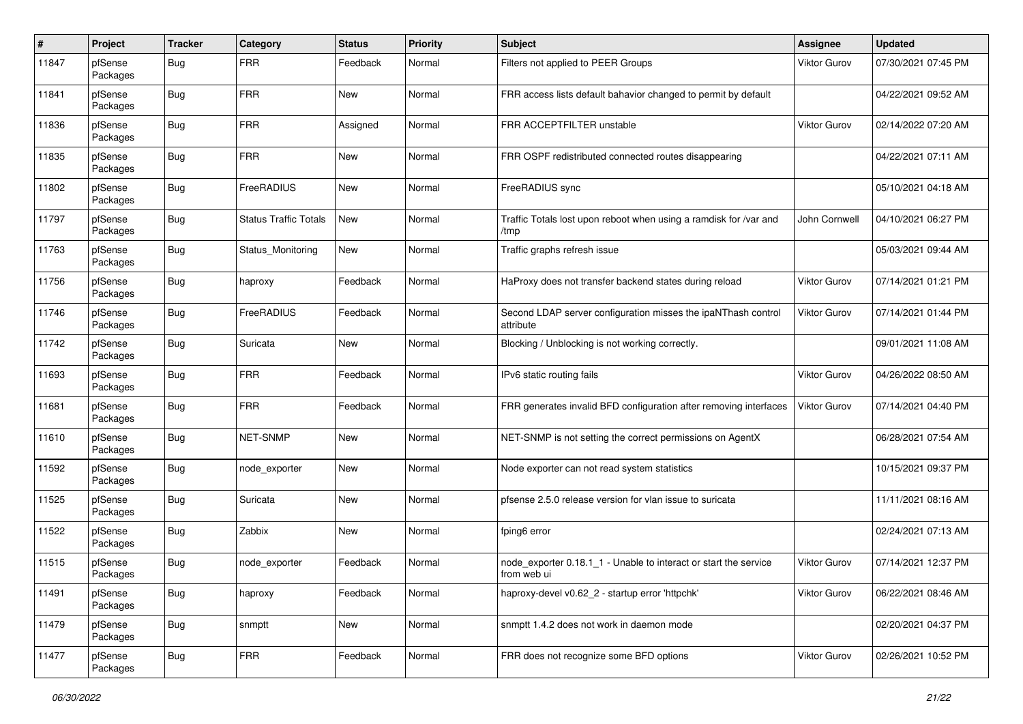| $\sharp$ | Project             | <b>Tracker</b> | Category                     | <b>Status</b> | <b>Priority</b> | Subject                                                                         | <b>Assignee</b>     | <b>Updated</b>      |
|----------|---------------------|----------------|------------------------------|---------------|-----------------|---------------------------------------------------------------------------------|---------------------|---------------------|
| 11847    | pfSense<br>Packages | <b>Bug</b>     | <b>FRR</b>                   | Feedback      | Normal          | Filters not applied to PEER Groups                                              | Viktor Gurov        | 07/30/2021 07:45 PM |
| 11841    | pfSense<br>Packages | Bug            | <b>FRR</b>                   | New           | Normal          | FRR access lists default bahavior changed to permit by default                  |                     | 04/22/2021 09:52 AM |
| 11836    | pfSense<br>Packages | Bug            | <b>FRR</b>                   | Assigned      | Normal          | FRR ACCEPTFILTER unstable                                                       | Viktor Gurov        | 02/14/2022 07:20 AM |
| 11835    | pfSense<br>Packages | Bug            | <b>FRR</b>                   | <b>New</b>    | Normal          | FRR OSPF redistributed connected routes disappearing                            |                     | 04/22/2021 07:11 AM |
| 11802    | pfSense<br>Packages | <b>Bug</b>     | FreeRADIUS                   | <b>New</b>    | Normal          | FreeRADIUS sync                                                                 |                     | 05/10/2021 04:18 AM |
| 11797    | pfSense<br>Packages | Bug            | <b>Status Traffic Totals</b> | New           | Normal          | Traffic Totals lost upon reboot when using a ramdisk for /var and<br>/tmp       | John Cornwell       | 04/10/2021 06:27 PM |
| 11763    | pfSense<br>Packages | Bug            | Status Monitoring            | <b>New</b>    | Normal          | Traffic graphs refresh issue                                                    |                     | 05/03/2021 09:44 AM |
| 11756    | pfSense<br>Packages | Bug            | haproxy                      | Feedback      | Normal          | HaProxy does not transfer backend states during reload                          | Viktor Gurov        | 07/14/2021 01:21 PM |
| 11746    | pfSense<br>Packages | Bug            | FreeRADIUS                   | Feedback      | Normal          | Second LDAP server configuration misses the ipaNThash control<br>attribute      | Viktor Gurov        | 07/14/2021 01:44 PM |
| 11742    | pfSense<br>Packages | Bug            | Suricata                     | <b>New</b>    | Normal          | Blocking / Unblocking is not working correctly.                                 |                     | 09/01/2021 11:08 AM |
| 11693    | pfSense<br>Packages | Bug            | <b>FRR</b>                   | Feedback      | Normal          | IPv6 static routing fails                                                       | Viktor Gurov        | 04/26/2022 08:50 AM |
| 11681    | pfSense<br>Packages | Bug            | <b>FRR</b>                   | Feedback      | Normal          | FRR generates invalid BFD configuration after removing interfaces               | <b>Viktor Gurov</b> | 07/14/2021 04:40 PM |
| 11610    | pfSense<br>Packages | Bug            | NET-SNMP                     | New           | Normal          | NET-SNMP is not setting the correct permissions on AgentX                       |                     | 06/28/2021 07:54 AM |
| 11592    | pfSense<br>Packages | Bug            | node exporter                | New           | Normal          | Node exporter can not read system statistics                                    |                     | 10/15/2021 09:37 PM |
| 11525    | pfSense<br>Packages | Bug            | Suricata                     | New           | Normal          | pfsense 2.5.0 release version for vlan issue to suricata                        |                     | 11/11/2021 08:16 AM |
| 11522    | pfSense<br>Packages | Bug            | Zabbix                       | <b>New</b>    | Normal          | fping6 error                                                                    |                     | 02/24/2021 07:13 AM |
| 11515    | pfSense<br>Packages | Bug            | node exporter                | Feedback      | Normal          | node_exporter 0.18.1_1 - Unable to interact or start the service<br>from web ui | Viktor Gurov        | 07/14/2021 12:37 PM |
| 11491    | pfSense<br>Packages | Bug            | haproxy                      | Feedback      | Normal          | haproxy-devel v0.62 2 - startup error 'httpchk'                                 | Viktor Gurov        | 06/22/2021 08:46 AM |
| 11479    | pfSense<br>Packages | Bug            | snmptt                       | New           | Normal          | snmptt 1.4.2 does not work in daemon mode                                       |                     | 02/20/2021 04:37 PM |
| 11477    | pfSense<br>Packages | <b>Bug</b>     | <b>FRR</b>                   | Feedback      | Normal          | FRR does not recognize some BFD options                                         | Viktor Gurov        | 02/26/2021 10:52 PM |